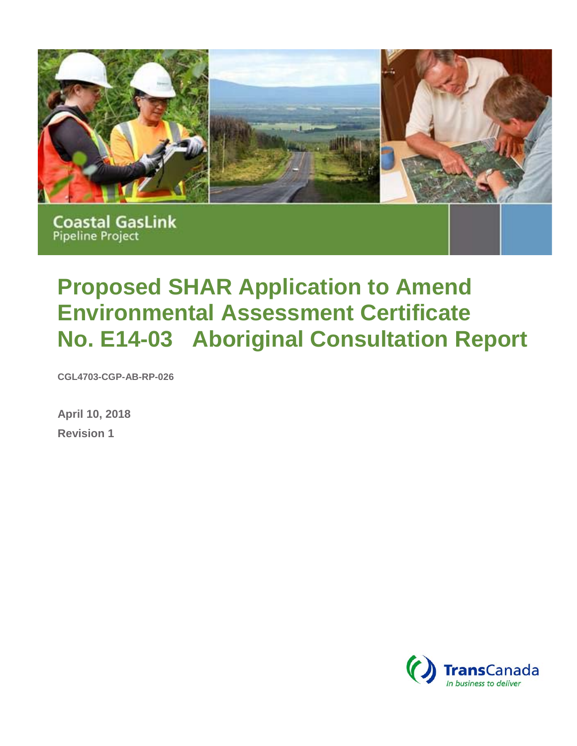

**Coastal GasLink Pipeline Project** 

# **Proposed SHAR Application to Amend Environmental Assessment Certificate No. E14-03 Aboriginal Consultation Report**

**CGL4703-CGP-AB-RP-026**

**April 10, 2018 Revision 1**

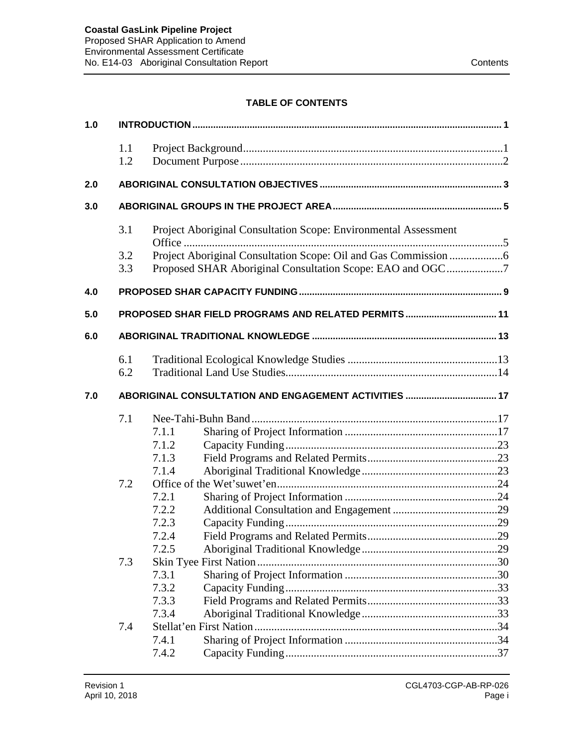## **TABLE OF CONTENTS**

| 1.0 |            |       |                                                                 |  |  |  |  |  |
|-----|------------|-------|-----------------------------------------------------------------|--|--|--|--|--|
|     | 1.1<br>1.2 |       |                                                                 |  |  |  |  |  |
| 2.0 |            |       |                                                                 |  |  |  |  |  |
| 3.0 |            |       |                                                                 |  |  |  |  |  |
|     | 3.1        |       | Project Aboriginal Consultation Scope: Environmental Assessment |  |  |  |  |  |
|     | 3.2        |       |                                                                 |  |  |  |  |  |
|     | 3.3        |       | Proposed SHAR Aboriginal Consultation Scope: EAO and OGC7       |  |  |  |  |  |
| 4.0 |            |       |                                                                 |  |  |  |  |  |
| 5.0 |            |       | PROPOSED SHAR FIELD PROGRAMS AND RELATED PERMITS  11            |  |  |  |  |  |
| 6.0 |            |       |                                                                 |  |  |  |  |  |
|     | 6.1        |       |                                                                 |  |  |  |  |  |
|     | 6.2        |       |                                                                 |  |  |  |  |  |
| 7.0 |            |       |                                                                 |  |  |  |  |  |
|     | 7.1        |       |                                                                 |  |  |  |  |  |
|     |            | 7.1.1 |                                                                 |  |  |  |  |  |
|     |            | 7.1.2 |                                                                 |  |  |  |  |  |
|     |            | 7.1.3 |                                                                 |  |  |  |  |  |
|     |            | 7.1.4 |                                                                 |  |  |  |  |  |
|     | 7.2        |       |                                                                 |  |  |  |  |  |
|     |            | 7.2.1 |                                                                 |  |  |  |  |  |
|     |            | 7.2.2 |                                                                 |  |  |  |  |  |
|     |            | 7.2.3 |                                                                 |  |  |  |  |  |
|     |            | 7.2.4 |                                                                 |  |  |  |  |  |
|     |            | 7.2.5 |                                                                 |  |  |  |  |  |
|     | 7.3        |       |                                                                 |  |  |  |  |  |
|     |            | 7.3.1 |                                                                 |  |  |  |  |  |
|     |            | 7.3.2 |                                                                 |  |  |  |  |  |
|     |            | 7.3.3 |                                                                 |  |  |  |  |  |
|     |            | 7.3.4 |                                                                 |  |  |  |  |  |
|     | 7.4        |       |                                                                 |  |  |  |  |  |
|     |            | 7.4.1 |                                                                 |  |  |  |  |  |
|     | 7.4.2      |       |                                                                 |  |  |  |  |  |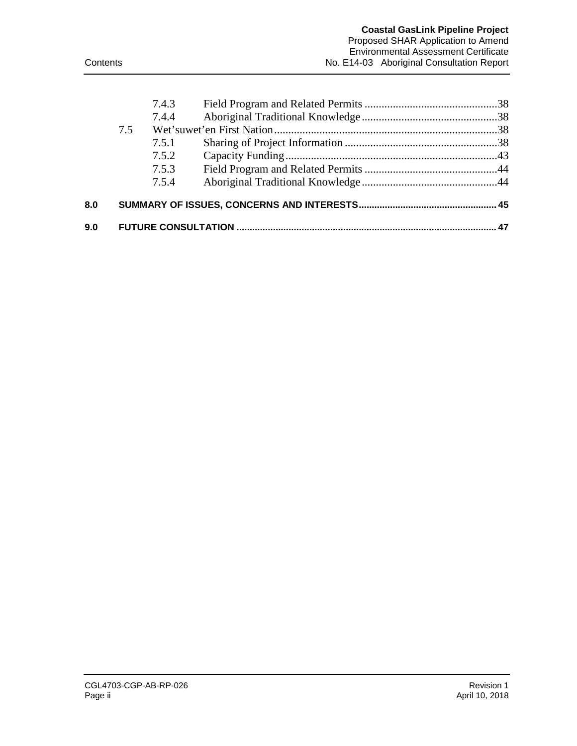|     |     | 7.4.3 |  |
|-----|-----|-------|--|
|     |     | 7.4.4 |  |
|     | 7.5 |       |  |
|     |     | 7.5.1 |  |
|     |     | 7.5.2 |  |
|     |     | 7.5.3 |  |
|     |     | 7.5.4 |  |
| 8.0 |     |       |  |
| 9.0 |     |       |  |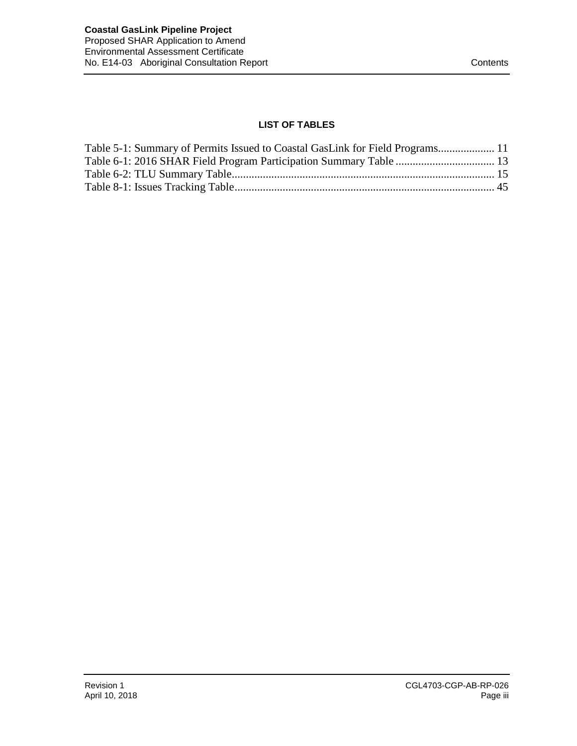## **LIST OF TABLES**

| Table 5-1: Summary of Permits Issued to Coastal GasLink for Field Programs 11 |  |
|-------------------------------------------------------------------------------|--|
|                                                                               |  |
|                                                                               |  |
|                                                                               |  |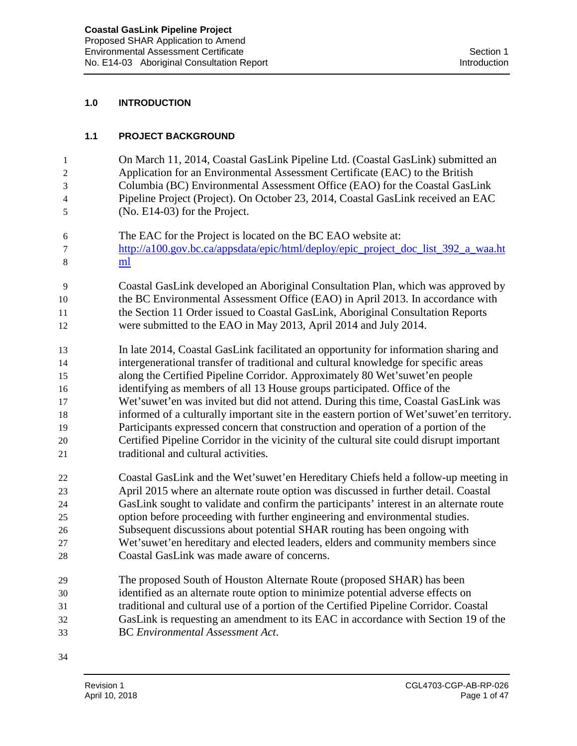#### **1.0 INTRODUCTION**

#### **1.1 PROJECT BACKGROUND**

- On March 11, 2014, Coastal GasLink Pipeline Ltd. (Coastal GasLink) submitted an Application for an Environmental Assessment Certificate (EAC) to the British Columbia (BC) Environmental Assessment Office (EAO) for the Coastal GasLink Pipeline Project (Project). On October 23, 2014, Coastal GasLink received an EAC (No. E14-03) for the Project.
- The EAC for the Project is located on the BC EAO website at: [http://a100.gov.bc.ca/appsdata/epic/html/deploy/epic\\_project\\_doc\\_list\\_392\\_a\\_waa.ht](http://a100.gov.bc.ca/appsdata/epic/html/deploy/epic_project_doc_list_392_a_waa.html)
- [ml](http://a100.gov.bc.ca/appsdata/epic/html/deploy/epic_project_doc_list_392_a_waa.html)

 Coastal GasLink developed an Aboriginal Consultation Plan, which was approved by the BC Environmental Assessment Office (EAO) in April 2013. In accordance with the Section 11 Order issued to Coastal GasLink, Aboriginal Consultation Reports were submitted to the EAO in May 2013, April 2014 and July 2014.

 In late 2014, Coastal GasLink facilitated an opportunity for information sharing and intergenerational transfer of traditional and cultural knowledge for specific areas along the Certified Pipeline Corridor. Approximately 80 Wet'suwet'en people identifying as members of all 13 House groups participated. Office of the Wet'suwet'en was invited but did not attend. During this time, Coastal GasLink was informed of a culturally important site in the eastern portion of Wet'suwet'en territory. Participants expressed concern that construction and operation of a portion of the Certified Pipeline Corridor in the vicinity of the cultural site could disrupt important traditional and cultural activities.

- Coastal GasLink and the Wet'suwet'en Hereditary Chiefs held a follow-up meeting in April 2015 where an alternate route option was discussed in further detail. Coastal GasLink sought to validate and confirm the participants' interest in an alternate route option before proceeding with further engineering and environmental studies. Subsequent discussions about potential SHAR routing has been ongoing with Wet'suwet'en hereditary and elected leaders, elders and community members since
- Coastal GasLink was made aware of concerns.
- The proposed South of Houston Alternate Route (proposed SHAR) has been identified as an alternate route option to minimize potential adverse effects on traditional and cultural use of a portion of the Certified Pipeline Corridor. Coastal GasLink is requesting an amendment to its EAC in accordance with Section 19 of the BC *Environmental Assessment Act*.
-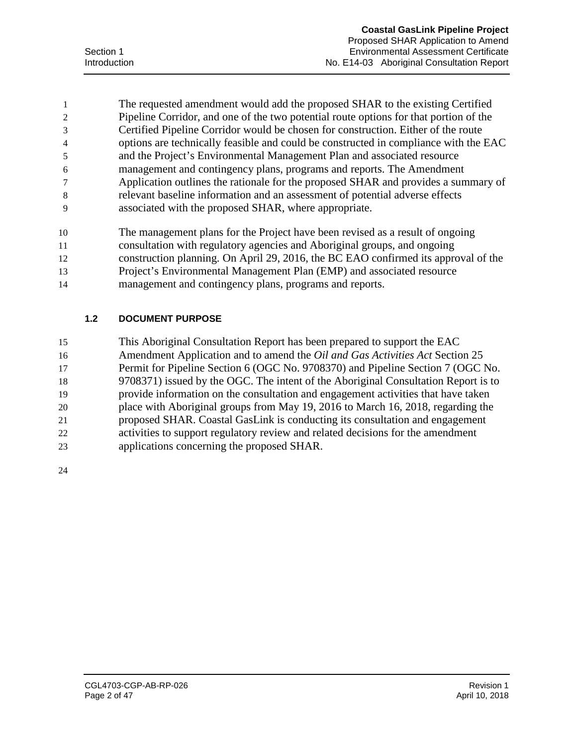The requested amendment would add the proposed SHAR to the existing Certified Pipeline Corridor, and one of the two potential route options for that portion of the Certified Pipeline Corridor would be chosen for construction. Either of the route options are technically feasible and could be constructed in compliance with the EAC and the Project's Environmental Management Plan and associated resource management and contingency plans, programs and reports. The Amendment Application outlines the rationale for the proposed SHAR and provides a summary of relevant baseline information and an assessment of potential adverse effects associated with the proposed SHAR, where appropriate.

- The management plans for the Project have been revised as a result of ongoing
- consultation with regulatory agencies and Aboriginal groups, and ongoing
- construction planning. On April 29, 2016, the BC EAO confirmed its approval of the
- Project's Environmental Management Plan (EMP) and associated resource
- management and contingency plans, programs and reports.

## **1.2 DOCUMENT PURPOSE**

- This Aboriginal Consultation Report has been prepared to support the EAC
- Amendment Application and to amend the *Oil and Gas Activities Act* Section 25
- Permit for Pipeline Section 6 (OGC No. 9708370) and Pipeline Section 7 (OGC No.
- 9708371) issued by the OGC. The intent of the Aboriginal Consultation Report is to
- provide information on the consultation and engagement activities that have taken
- place with Aboriginal groups from May 19, 2016 to March 16, 2018, regarding the
- proposed SHAR. Coastal GasLink is conducting its consultation and engagement activities to support regulatory review and related decisions for the amendment
- applications concerning the proposed SHAR.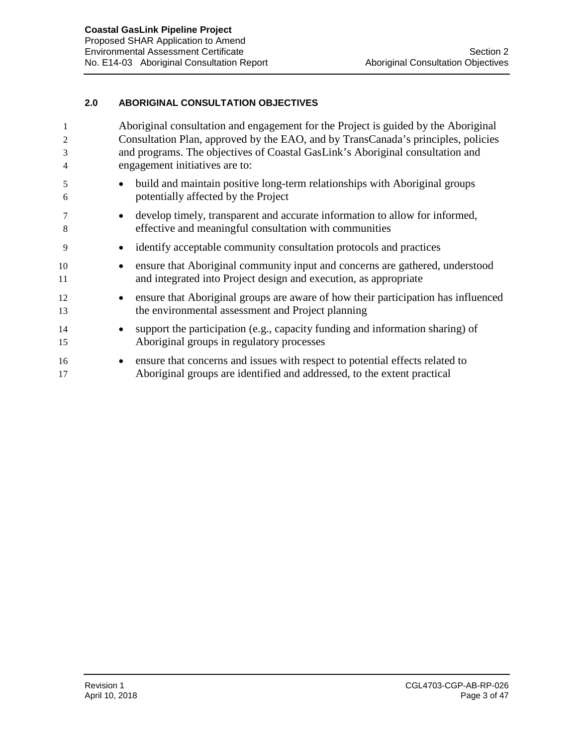#### **2.0 ABORIGINAL CONSULTATION OBJECTIVES**

|          | Aboriginal consultation and engagement for the Project is guided by the Aboriginal                                                                            |  |  |  |  |  |
|----------|---------------------------------------------------------------------------------------------------------------------------------------------------------------|--|--|--|--|--|
| 2        | Consultation Plan, approved by the EAO, and by TransCanada's principles, policies                                                                             |  |  |  |  |  |
| 3        | and programs. The objectives of Coastal GasLink's Aboriginal consultation and                                                                                 |  |  |  |  |  |
| 4        | engagement initiatives are to:                                                                                                                                |  |  |  |  |  |
| 5        | build and maintain positive long-term relationships with Aboriginal groups<br>$\bullet$                                                                       |  |  |  |  |  |
| 6        | potentially affected by the Project                                                                                                                           |  |  |  |  |  |
| 7        | develop timely, transparent and accurate information to allow for informed,<br>$\bullet$                                                                      |  |  |  |  |  |
| 8        | effective and meaningful consultation with communities                                                                                                        |  |  |  |  |  |
| 9        | identify acceptable community consultation protocols and practices<br>$\bullet$                                                                               |  |  |  |  |  |
| 10<br>11 | ensure that Aboriginal community input and concerns are gathered, understood<br>$\bullet$<br>and integrated into Project design and execution, as appropriate |  |  |  |  |  |
| 12       | ensure that Aboriginal groups are aware of how their participation has influenced<br>$\bullet$                                                                |  |  |  |  |  |
| 13       | the environmental assessment and Project planning                                                                                                             |  |  |  |  |  |
| 14       | support the participation (e.g., capacity funding and information sharing) of<br>$\bullet$                                                                    |  |  |  |  |  |
| 15       | Aboriginal groups in regulatory processes                                                                                                                     |  |  |  |  |  |
| 16       | ensure that concerns and issues with respect to potential effects related to<br>$\bullet$                                                                     |  |  |  |  |  |
| 17       | Aboriginal groups are identified and addressed, to the extent practical                                                                                       |  |  |  |  |  |
|          |                                                                                                                                                               |  |  |  |  |  |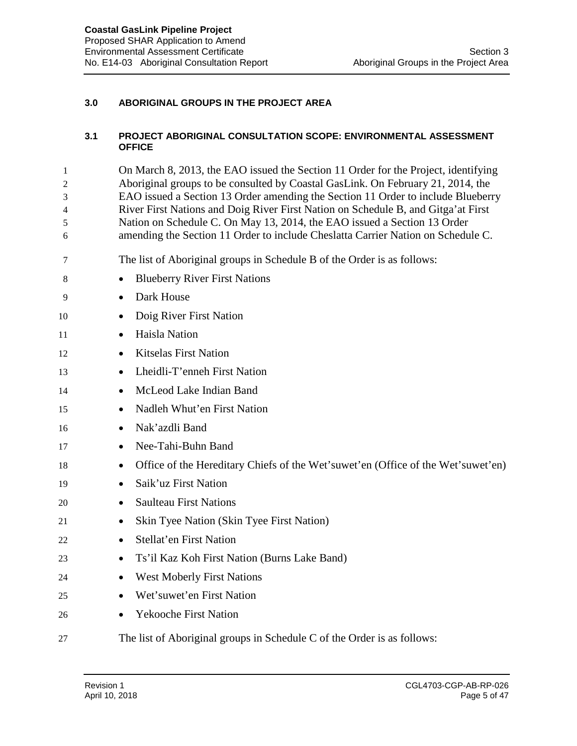#### **3.0 ABORIGINAL GROUPS IN THE PROJECT AREA**

#### **3.1 PROJECT ABORIGINAL CONSULTATION SCOPE: ENVIRONMENTAL ASSESSMENT OFFICE**

 On March 8, 2013, the EAO issued the Section 11 Order for the Project, identifying Aboriginal groups to be consulted by Coastal GasLink. On February 21, 2014, the EAO issued a Section 13 Order amending the Section 11 Order to include Blueberry River First Nations and Doig River First Nation on Schedule B, and Gitga'at First Nation on Schedule C. On May 13, 2014, the EAO issued a Section 13 Order amending the Section 11 Order to include Cheslatta Carrier Nation on Schedule C.

- The list of Aboriginal groups in Schedule B of the Order is as follows:
- 8 Blueberry River First Nations
- Dark House
- 10 Doig River First Nation
- Haisla Nation
- Kitselas First Nation
- Lheidli-T'enneh First Nation
- McLeod Lake Indian Band
- Nadleh Whut'en First Nation
- Nak'azdli Band
- Nee-Tahi-Buhn Band
- Office of the Hereditary Chiefs of the Wet'suwet'en (Office of the Wet'suwet'en)
- Saik'uz First Nation
- Saulteau First Nations
- Skin Tyee Nation (Skin Tyee First Nation)
- Stellat'en First Nation
- Ts'il Kaz Koh First Nation (Burns Lake Band)
- West Moberly First Nations
- Wet'suwet'en First Nation
- Yekooche First Nation
- The list of Aboriginal groups in Schedule C of the Order is as follows: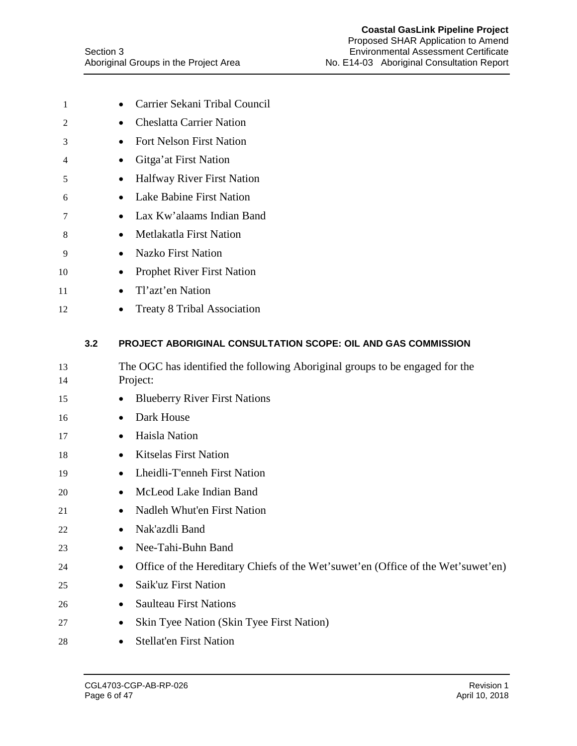| 1        |     | Carrier Sekani Tribal Council<br>$\bullet$                                               |
|----------|-----|------------------------------------------------------------------------------------------|
| 2        |     | <b>Cheslatta Carrier Nation</b><br>$\bullet$                                             |
| 3        |     | Fort Nelson First Nation                                                                 |
| 4        |     | Gitga'at First Nation                                                                    |
| 5        |     | Halfway River First Nation                                                               |
| 6        |     | Lake Babine First Nation<br>$\bullet$                                                    |
| 7        |     | Lax Kw'alaams Indian Band<br>$\bullet$                                                   |
| 8        |     | Metlakatla First Nation                                                                  |
| 9        |     | <b>Nazko First Nation</b>                                                                |
| 10       |     | <b>Prophet River First Nation</b>                                                        |
| 11       |     | Tl'azt'en Nation<br>$\bullet$                                                            |
| 12       |     | <b>Treaty 8 Tribal Association</b>                                                       |
|          | 3.2 | PROJECT ABORIGINAL CONSULTATION SCOPE: OIL AND GAS COMMISSION                            |
| 13<br>14 |     | The OGC has identified the following Aboriginal groups to be engaged for the<br>Project: |
| 15       |     | <b>Blueberry River First Nations</b>                                                     |
| 16       |     | Dark House                                                                               |
| 17       |     | Haisla Nation<br>$\bullet$                                                               |
| 18       |     | <b>Kitselas First Nation</b><br>٠                                                        |
| 19       |     | Lheidli-T'enneh First Nation                                                             |
| 20       |     | McLeod Lake Indian Band                                                                  |
| 21       |     | Nadleh Whut'en First Nation                                                              |
| 22       |     | Nak'azdli Band                                                                           |
| 23       |     | Nee-Tahi-Buhn Band<br>$\bullet$                                                          |
| 24       |     | Office of the Hereditary Chiefs of the Wet'suwet'en (Office of the Wet'suwet'en)         |
| 25       |     | Saik'uz First Nation                                                                     |
| 26       |     | <b>Saulteau First Nations</b>                                                            |
| 27       |     | Skin Tyee Nation (Skin Tyee First Nation)                                                |
| 28       |     | Stellat'en First Nation<br>$\bullet$                                                     |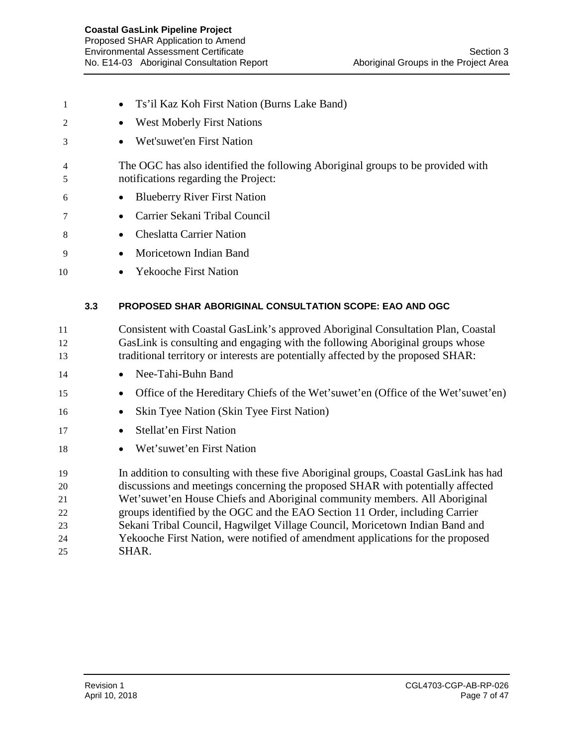- Ts'il Kaz Koh First Nation (Burns Lake Band)
- West Moberly First Nations
- Wet'suwet'en First Nation
- The OGC has also identified the following Aboriginal groups to be provided with notifications regarding the Project:
- Blueberry River First Nation
- Carrier Sekani Tribal Council
- Cheslatta Carrier Nation
- Moricetown Indian Band
- Yekooche First Nation

## **3.3 PROPOSED SHAR ABORIGINAL CONSULTATION SCOPE: EAO AND OGC**

- Consistent with Coastal GasLink's approved Aboriginal Consultation Plan, Coastal GasLink is consulting and engaging with the following Aboriginal groups whose traditional territory or interests are potentially affected by the proposed SHAR:
- Nee-Tahi-Buhn Band
- Office of the Hereditary Chiefs of the Wet'suwet'en (Office of the Wet'suwet'en)
- Skin Tyee Nation (Skin Tyee First Nation)
- Stellat'en First Nation
- Wet'suwet'en First Nation

 In addition to consulting with these five Aboriginal groups, Coastal GasLink has had discussions and meetings concerning the proposed SHAR with potentially affected Wet'suwet'en House Chiefs and Aboriginal community members. All Aboriginal groups identified by the OGC and the EAO Section 11 Order, including Carrier Sekani Tribal Council, Hagwilget Village Council, Moricetown Indian Band and Yekooche First Nation, were notified of amendment applications for the proposed SHAR.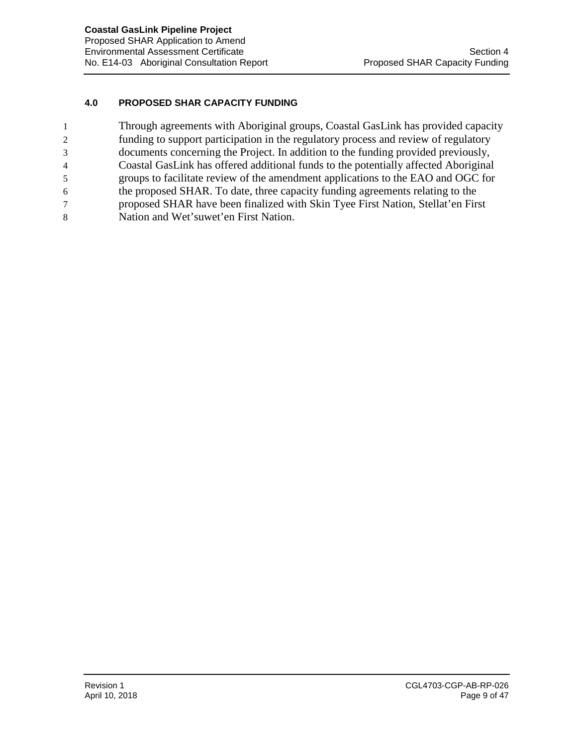#### **4.0 PROPOSED SHAR CAPACITY FUNDING**

| 1 | Through agreements with Aboriginal groups, Coastal GasLink has provided capacity    |
|---|-------------------------------------------------------------------------------------|
| 2 | funding to support participation in the regulatory process and review of regulatory |
| 3 | documents concerning the Project. In addition to the funding provided previously,   |
| 4 | Coastal GasLink has offered additional funds to the potentially affected Aboriginal |
| 5 | groups to facilitate review of the amendment applications to the EAO and OGC for    |
| 6 | the proposed SHAR. To date, three capacity funding agreements relating to the       |
|   | proposed SHAR have been finalized with Skin Tyee First Nation, Stellat'en First     |
| 8 | Nation and Wet'suwet'en First Nation.                                               |
|   |                                                                                     |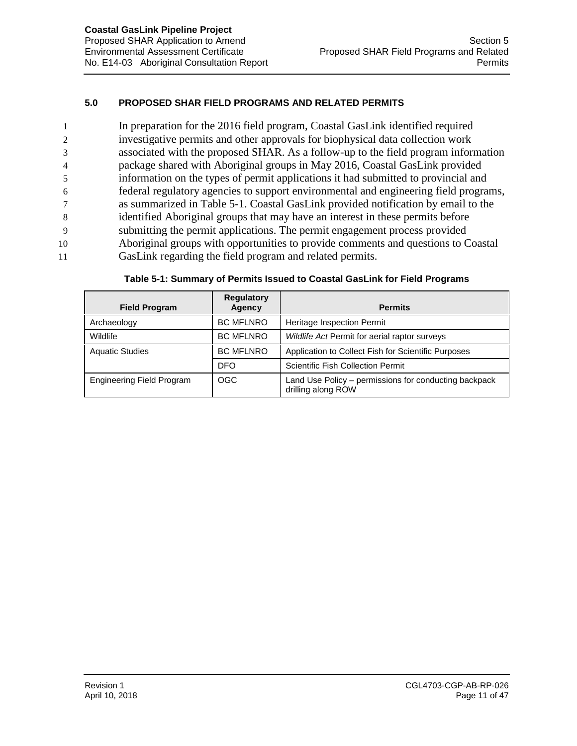## **5.0 PROPOSED SHAR FIELD PROGRAMS AND RELATED PERMITS**

 In preparation for the 2016 field program, Coastal GasLink identified required investigative permits and other approvals for biophysical data collection work associated with the proposed SHAR. As a follow-up to the field program information package shared with Aboriginal groups in May 2016, Coastal GasLink provided information on the types of permit applications it had submitted to provincial and federal regulatory agencies to support environmental and engineering field programs, as summarized in Table 5-1. Coastal GasLink provided notification by email to the identified Aboriginal groups that may have an interest in these permits before submitting the permit applications. The permit engagement process provided Aboriginal groups with opportunities to provide comments and questions to Coastal GasLink regarding the field program and related permits.

| <b>Field Program</b>             | <b>Regulatory</b><br>Agency | <b>Permits</b>                                                              |  |
|----------------------------------|-----------------------------|-----------------------------------------------------------------------------|--|
| Archaeology                      | <b>BC MFLNRO</b>            | Heritage Inspection Permit                                                  |  |
| Wildlife                         | <b>BC MFLNRO</b>            | Wildlife Act Permit for aerial raptor surveys                               |  |
| <b>Aquatic Studies</b>           | <b>BC MFLNRO</b>            | Application to Collect Fish for Scientific Purposes                         |  |
|                                  | <b>DFO</b>                  | <b>Scientific Fish Collection Permit</b>                                    |  |
| <b>Engineering Field Program</b> | <b>OGC</b>                  | Land Use Policy - permissions for conducting backpack<br>drilling along ROW |  |

| Table 5-1: Summary of Permits Issued to Coastal GasLink for Field Programs |  |
|----------------------------------------------------------------------------|--|
|----------------------------------------------------------------------------|--|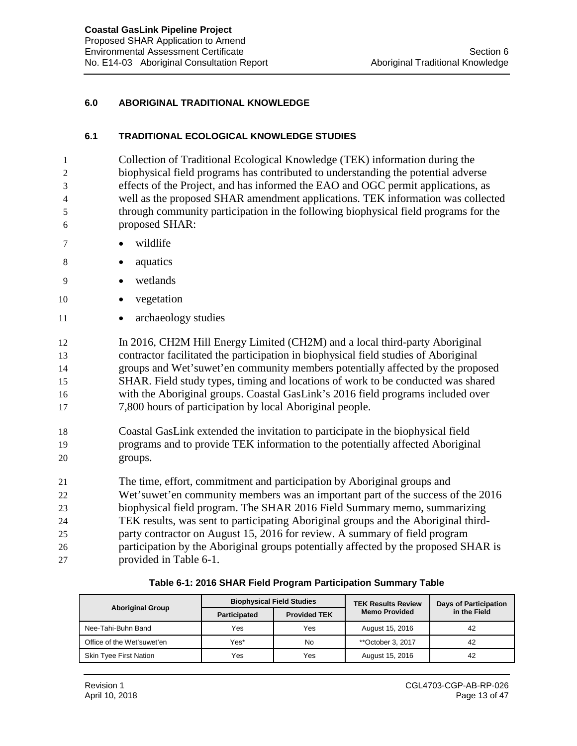#### **6.0 ABORIGINAL TRADITIONAL KNOWLEDGE**

#### **6.1 TRADITIONAL ECOLOGICAL KNOWLEDGE STUDIES**

 Collection of Traditional Ecological Knowledge (TEK) information during the biophysical field programs has contributed to understanding the potential adverse effects of the Project, and has informed the EAO and OGC permit applications, as well as the proposed SHAR amendment applications. TEK information was collected through community participation in the following biophysical field programs for the proposed SHAR:

- 7 wildlife
- 8 aquatics
- 9 wetlands
- 10 vegetation
- 11 archaeology studies

 In 2016, CH2M Hill Energy Limited (CH2M) and a local third-party Aboriginal contractor facilitated the participation in biophysical field studies of Aboriginal groups and Wet'suwet'en community members potentially affected by the proposed SHAR. Field study types, timing and locations of work to be conducted was shared with the Aboriginal groups. Coastal GasLink's 2016 field programs included over 7,800 hours of participation by local Aboriginal people.

18 Coastal GasLink extended the invitation to participate in the biophysical field 19 programs and to provide TEK information to the potentially affected Aboriginal 20 groups.

21 The time, effort, commitment and participation by Aboriginal groups and

- 22 Wet'suwet'en community members was an important part of the success of the 2016 23 biophysical field program. The SHAR 2016 Field Summary memo, summarizing 24 TEK results, was sent to participating Aboriginal groups and the Aboriginal third-
- 25 party contractor on August 15, 2016 for review. A summary of field program 26 participation by the Aboriginal groups potentially affected by the proposed SHAR is 27 provided in Table 6-1.

| Table 6-1: 2016 SHAR Field Program Participation Summary Table |  |  |  |
|----------------------------------------------------------------|--|--|--|
|----------------------------------------------------------------|--|--|--|

|                               |                     | <b>Biophysical Field Studies</b> | <b>TEK Results Review</b> | <b>Days of Participation</b><br>in the Field |  |
|-------------------------------|---------------------|----------------------------------|---------------------------|----------------------------------------------|--|
| <b>Aboriginal Group</b>       | <b>Participated</b> | <b>Provided TEK</b>              | <b>Memo Provided</b>      |                                              |  |
| Nee-Tahi-Buhn Band            | Yes                 | Yes                              | August 15, 2016           | 42                                           |  |
| Office of the Wet'suwet'en    | Yes*                | No                               | **October 3, 2017         | 42                                           |  |
| <b>Skin Tyee First Nation</b> | Yes                 | Yes                              | August 15, 2016           | 42                                           |  |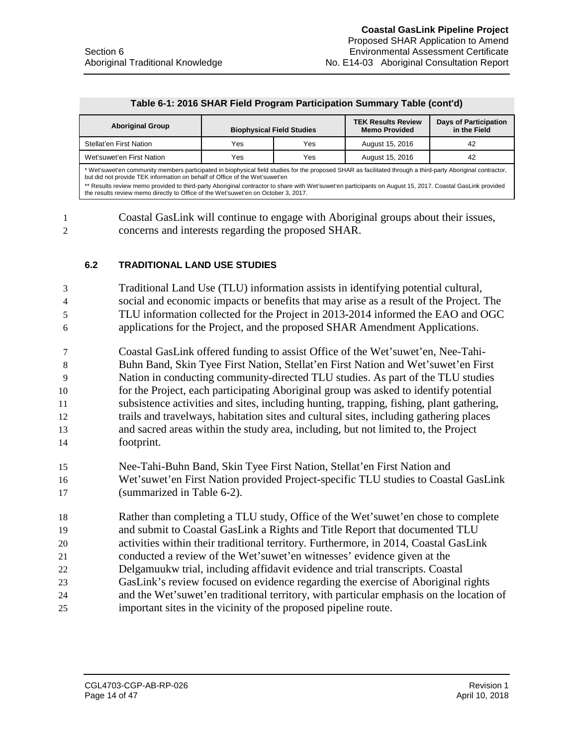#### **Table 6-1: 2016 SHAR Field Program Participation Summary Table (cont'd)**

| <b>Aboriginal Group</b>                                                                                                                                                                                                                     | <b>Biophysical Field Studies</b> |     | <b>TEK Results Review</b><br><b>Memo Provided</b> | <b>Days of Participation</b><br>in the Field |  |
|---------------------------------------------------------------------------------------------------------------------------------------------------------------------------------------------------------------------------------------------|----------------------------------|-----|---------------------------------------------------|----------------------------------------------|--|
| Stellat'en First Nation                                                                                                                                                                                                                     | Yes                              | Yes | August 15, 2016                                   | 42                                           |  |
| Wet'suwet'en First Nation                                                                                                                                                                                                                   | Yes<br>Yes<br>August 15, 2016    |     | 42                                                |                                              |  |
| * Wet'suwet'en community members participated in biophysical field studies for the proposed SHAR as facilitated through a third-party Aboriginal contractor,<br>but did not provide TEK information on behalf of Office of the Wet'suwet'en |                                  |     |                                                   |                                              |  |

\*\* Results review memo provided to third-party Aboriginal contractor to share with Wet'suwet'en participants on August 15, 2017. Coastal GasLink provided the results review memo directly to Office of the Wet'suwet'en on October 3, 2017.

1 Coastal GasLink will continue to engage with Aboriginal groups about their issues, 2 concerns and interests regarding the proposed SHAR.

#### **6.2 TRADITIONAL LAND USE STUDIES**

 Traditional Land Use (TLU) information assists in identifying potential cultural, social and economic impacts or benefits that may arise as a result of the Project. The TLU information collected for the Project in 2013-2014 informed the EAO and OGC applications for the Project, and the proposed SHAR Amendment Applications.

 Coastal GasLink offered funding to assist Office of the Wet'suwet'en, Nee-Tahi- Buhn Band, Skin Tyee First Nation, Stellat'en First Nation and Wet'suwet'en First Nation in conducting community-directed TLU studies. As part of the TLU studies for the Project, each participating Aboriginal group was asked to identify potential subsistence activities and sites, including hunting, trapping, fishing, plant gathering, trails and travelways, habitation sites and cultural sites, including gathering places and sacred areas within the study area, including, but not limited to, the Project footprint.

- 15 Nee-Tahi-Buhn Band, Skin Tyee First Nation, Stellat'en First Nation and 16 Wet'suwet'en First Nation provided Project-specific TLU studies to Coastal GasLink 17 (summarized in Table 6-2).
- 18 Rather than completing a TLU study, Office of the Wet'suwet'en chose to complete 19 and submit to Coastal GasLink a Rights and Title Report that documented TLU
- 20 activities within their traditional territory. Furthermore, in 2014, Coastal GasLink
- 21 conducted a review of the Wet'suwet'en witnesses' evidence given at the
- 22 Delgamuukw trial, including affidavit evidence and trial transcripts. Coastal
- 23 GasLink's review focused on evidence regarding the exercise of Aboriginal rights
- 24 and the Wet'suwet'en traditional territory, with particular emphasis on the location of 25 important sites in the vicinity of the proposed pipeline route.

Page 14 of 47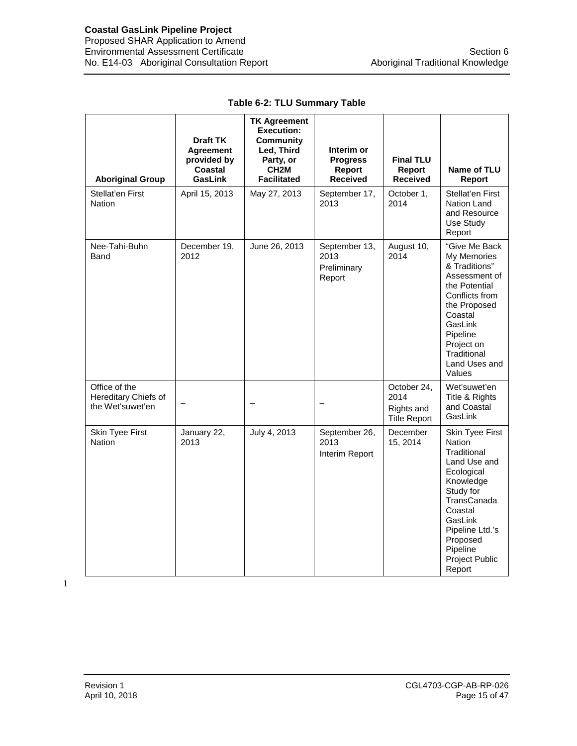| <b>Aboriginal Group</b>                                   | <b>Draft TK</b><br>Agreement<br>provided by<br>Coastal<br>GasLink | <b>TK Agreement</b><br><b>Execution:</b><br><b>Community</b><br>Led, Third<br>Party, or<br>CH <sub>2</sub> M<br><b>Facilitated</b> | Interim or<br><b>Progress</b><br>Report<br><b>Received</b> | <b>Final TLU</b><br>Report<br><b>Received</b>            | Name of TLU<br><b>Report</b>                                                                                                                                                                                        |
|-----------------------------------------------------------|-------------------------------------------------------------------|------------------------------------------------------------------------------------------------------------------------------------|------------------------------------------------------------|----------------------------------------------------------|---------------------------------------------------------------------------------------------------------------------------------------------------------------------------------------------------------------------|
| Stellat'en First<br>Nation                                | April 15, 2013                                                    | May 27, 2013                                                                                                                       | September 17,<br>2013                                      | October 1,<br>2014                                       | Stellat'en First<br>Nation Land<br>and Resource<br>Use Study<br>Report                                                                                                                                              |
| Nee-Tahi-Buhn<br>Band                                     | December 19,<br>2012                                              | June 26, 2013                                                                                                                      | September 13,<br>2013<br>Preliminary<br>Report             | August 10,<br>2014                                       | "Give Me Back<br>My Memories<br>& Traditions"<br>Assessment of<br>the Potential<br>Conflicts from<br>the Proposed<br>Coastal<br>GasLink<br>Pipeline<br>Project on<br>Traditional<br>Land Uses and<br>Values         |
| Office of the<br>Hereditary Chiefs of<br>the Wet'suwet'en |                                                                   |                                                                                                                                    |                                                            | October 24,<br>2014<br>Rights and<br><b>Title Report</b> | Wet'suwet'en<br>Title & Rights<br>and Coastal<br>GasLink                                                                                                                                                            |
| Skin Tyee First<br><b>Nation</b>                          | January 22,<br>2013                                               | July 4, 2013                                                                                                                       | September 26,<br>2013<br>Interim Report                    | December<br>15, 2014                                     | Skin Tyee First<br><b>Nation</b><br>Traditional<br>Land Use and<br>Ecological<br>Knowledge<br>Study for<br>TransCanada<br>Coastal<br>GasLink<br>Pipeline Ltd.'s<br>Proposed<br>Pipeline<br>Project Public<br>Report |

#### **Table 6-2: TLU Summary Table**

1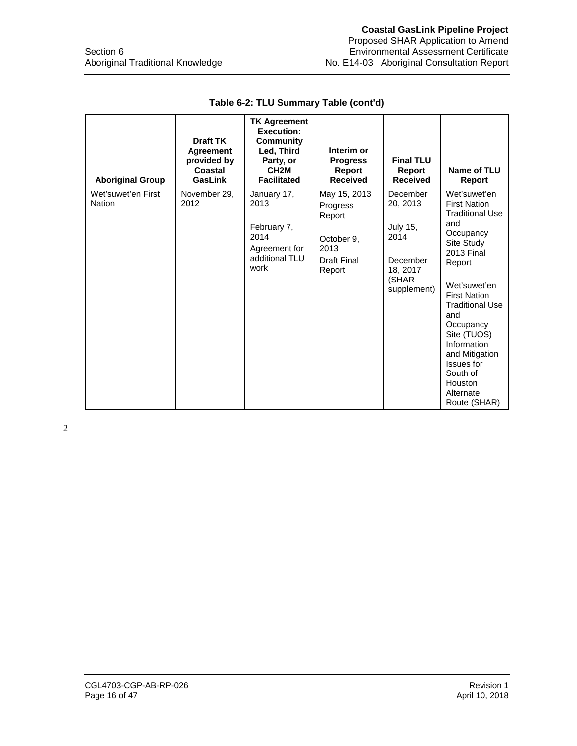| <b>Aboriginal Group</b>      | <b>Draft TK</b><br><b>Agreement</b><br>provided by<br>Coastal<br>GasLink | <b>TK Agreement</b><br><b>Execution:</b><br><b>Community</b><br>Led, Third<br>Party, or<br>CH <sub>2</sub> M<br><b>Facilitated</b> | Interim or<br><b>Progress</b><br>Report<br><b>Received</b>                        | <b>Final TLU</b><br>Report<br><b>Received</b>                                                   | Name of TLU<br><b>Report</b>                                                                                                                                                                                                                                                                                                          |
|------------------------------|--------------------------------------------------------------------------|------------------------------------------------------------------------------------------------------------------------------------|-----------------------------------------------------------------------------------|-------------------------------------------------------------------------------------------------|---------------------------------------------------------------------------------------------------------------------------------------------------------------------------------------------------------------------------------------------------------------------------------------------------------------------------------------|
| Wet'suwet'en First<br>Nation | November 29,<br>2012                                                     | January 17,<br>2013<br>February 7,<br>2014<br>Agreement for<br>additional TLU<br>work                                              | May 15, 2013<br>Progress<br>Report<br>October 9.<br>2013<br>Draft Final<br>Report | December<br>20, 2013<br><b>July 15,</b><br>2014<br>December<br>18, 2017<br>(SHAR<br>supplement) | Wet'suwet'en<br><b>First Nation</b><br><b>Traditional Use</b><br>and<br>Occupancy<br>Site Study<br><b>2013 Final</b><br>Report<br>Wet'suwet'en<br><b>First Nation</b><br><b>Traditional Use</b><br>and<br>Occupancy<br>Site (TUOS)<br>Information<br>and Mitigation<br>Issues for<br>South of<br>Houston<br>Alternate<br>Route (SHAR) |

## **Table 6-2: TLU Summary Table (cont'd)**

2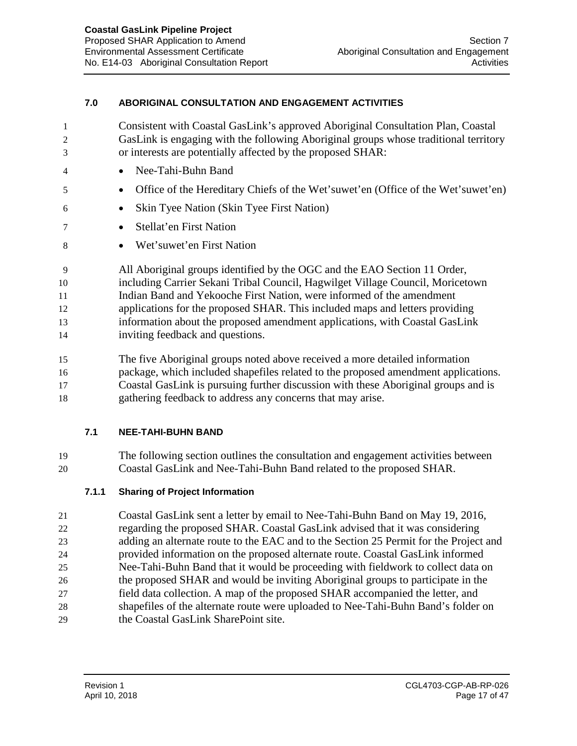#### **7.0 ABORIGINAL CONSULTATION AND ENGAGEMENT ACTIVITIES**

| 1  | Consistent with Coastal GasLink's approved Aboriginal Consultation Plan, Coastal     |
|----|--------------------------------------------------------------------------------------|
| 2  | GasLink is engaging with the following Aboriginal groups whose traditional territory |
| 3  | or interests are potentially affected by the proposed SHAR:                          |
| 4  | Nee-Tahi-Buhn Band                                                                   |
| 5  | Office of the Hereditary Chiefs of the Wet'suwet'en (Office of the Wet'suwet'en)     |
| 6  | Skin Tyee Nation (Skin Tyee First Nation)<br>$\bullet$                               |
|    | Stellat'en First Nation<br>$\bullet$                                                 |
| 8  | Wet'suwet'en First Nation                                                            |
| 9  | All Aboriginal groups identified by the OGC and the EAO Section 11 Order,            |
| 10 | including Carrier Sekani Tribal Council, Hagwilget Village Council, Moricetown       |
| 11 | Indian Band and Yekooche First Nation, were informed of the amendment                |
| 12 | applications for the proposed SHAR. This included maps and letters providing         |
| 13 | information about the proposed amendment applications, with Coastal GasLink          |
| 14 | inviting feedback and questions.                                                     |
| 15 | The five Aboriginal groups noted above received a more detailed information          |
| 16 | package, which included shapefiles related to the proposed amendment applications.   |
| 17 | Coastal GasLink is pursuing further discussion with these Aboriginal groups and is   |

gathering feedback to address any concerns that may arise.

## **7.1 NEE-TAHI-BUHN BAND**

 The following section outlines the consultation and engagement activities between Coastal GasLink and Nee-Tahi-Buhn Band related to the proposed SHAR.

## **7.1.1 Sharing of Project Information**

 Coastal GasLink sent a letter by email to Nee-Tahi-Buhn Band on May 19, 2016, regarding the proposed SHAR. Coastal GasLink advised that it was considering adding an alternate route to the EAC and to the Section 25 Permit for the Project and provided information on the proposed alternate route. Coastal GasLink informed Nee-Tahi-Buhn Band that it would be proceeding with fieldwork to collect data on the proposed SHAR and would be inviting Aboriginal groups to participate in the field data collection. A map of the proposed SHAR accompanied the letter, and shapefiles of the alternate route were uploaded to Nee-Tahi-Buhn Band's folder on the Coastal GasLink SharePoint site.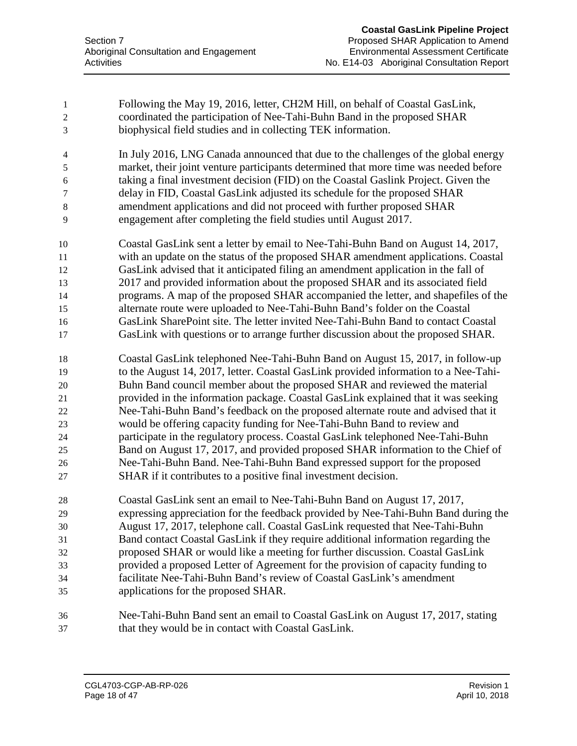| 1              | Following the May 19, 2016, letter, CH2M Hill, on behalf of Coastal GasLink,         |
|----------------|--------------------------------------------------------------------------------------|
| $\overline{c}$ | coordinated the participation of Nee-Tahi-Buhn Band in the proposed SHAR             |
| 3              | biophysical field studies and in collecting TEK information.                         |
| $\overline{4}$ | In July 2016, LNG Canada announced that due to the challenges of the global energy   |
| 5              | market, their joint venture participants determined that more time was needed before |
| 6              | taking a final investment decision (FID) on the Coastal Gaslink Project. Given the   |
| 7              | delay in FID, Coastal GasLink adjusted its schedule for the proposed SHAR            |
| $8\,$          | amendment applications and did not proceed with further proposed SHAR                |
| 9              | engagement after completing the field studies until August 2017.                     |
| 10             | Coastal GasLink sent a letter by email to Nee-Tahi-Buhn Band on August 14, 2017,     |
| 11             | with an update on the status of the proposed SHAR amendment applications. Coastal    |
| 12             | GasLink advised that it anticipated filing an amendment application in the fall of   |
| 13             | 2017 and provided information about the proposed SHAR and its associated field       |
| 14             | programs. A map of the proposed SHAR accompanied the letter, and shapefiles of the   |
| 15             | alternate route were uploaded to Nee-Tahi-Buhn Band's folder on the Coastal          |
| 16             | GasLink SharePoint site. The letter invited Nee-Tahi-Buhn Band to contact Coastal    |
| 17             | GasLink with questions or to arrange further discussion about the proposed SHAR.     |
| 18             | Coastal GasLink telephoned Nee-Tahi-Buhn Band on August 15, 2017, in follow-up       |
| 19             | to the August 14, 2017, letter. Coastal GasLink provided information to a Nee-Tahi-  |
| 20             | Buhn Band council member about the proposed SHAR and reviewed the material           |
| 21             | provided in the information package. Coastal GasLink explained that it was seeking   |
| 22             | Nee-Tahi-Buhn Band's feedback on the proposed alternate route and advised that it    |
| 23             | would be offering capacity funding for Nee-Tahi-Buhn Band to review and              |
| 24             | participate in the regulatory process. Coastal GasLink telephoned Nee-Tahi-Buhn      |
| 25             | Band on August 17, 2017, and provided proposed SHAR information to the Chief of      |
| 26             | Nee-Tahi-Buhn Band. Nee-Tahi-Buhn Band expressed support for the proposed            |
| 27             | SHAR if it contributes to a positive final investment decision.                      |
| 28             | Coastal GasLink sent an email to Nee-Tahi-Buhn Band on August 17, 2017,              |
| 29             | expressing appreciation for the feedback provided by Nee-Tahi-Buhn Band during the   |
| 30             | August 17, 2017, telephone call. Coastal GasLink requested that Nee-Tahi-Buhn        |
| 31             | Band contact Coastal GasLink if they require additional information regarding the    |
| 32             | proposed SHAR or would like a meeting for further discussion. Coastal GasLink        |
| 33             | provided a proposed Letter of Agreement for the provision of capacity funding to     |
| 34             | facilitate Nee-Tahi-Buhn Band's review of Coastal GasLink's amendment                |
| 35             | applications for the proposed SHAR.                                                  |
| 36             | Nee-Tahi-Buhn Band sent an email to Coastal GasLink on August 17, 2017, stating      |
| 37             | that they would be in contact with Coastal GasLink.                                  |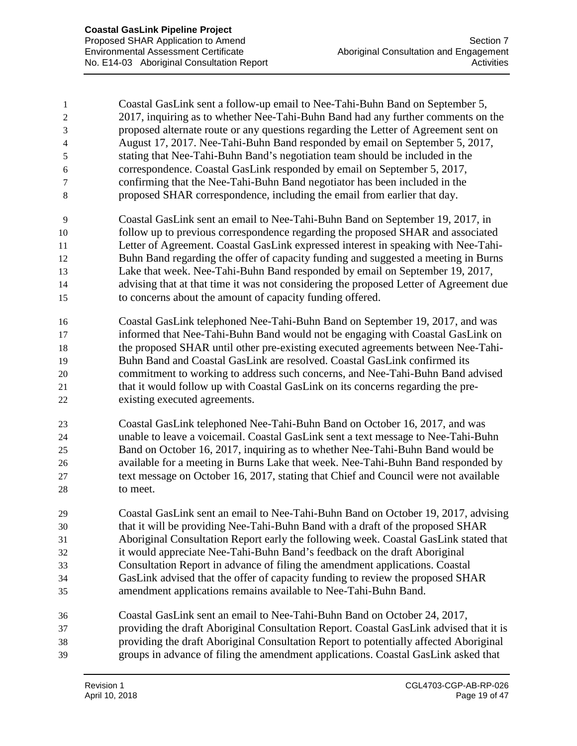| $\mathbf{1}$<br>$\overline{2}$<br>3<br>$\overline{4}$<br>5<br>6<br>7<br>8 | Coastal GasLink sent a follow-up email to Nee-Tahi-Buhn Band on September 5,<br>2017, inquiring as to whether Nee-Tahi-Buhn Band had any further comments on the<br>proposed alternate route or any questions regarding the Letter of Agreement sent on<br>August 17, 2017. Nee-Tahi-Buhn Band responded by email on September 5, 2017,<br>stating that Nee-Tahi-Buhn Band's negotiation team should be included in the<br>correspondence. Coastal GasLink responded by email on September 5, 2017,<br>confirming that the Nee-Tahi-Buhn Band negotiator has been included in the<br>proposed SHAR correspondence, including the email from earlier that day. |
|---------------------------------------------------------------------------|---------------------------------------------------------------------------------------------------------------------------------------------------------------------------------------------------------------------------------------------------------------------------------------------------------------------------------------------------------------------------------------------------------------------------------------------------------------------------------------------------------------------------------------------------------------------------------------------------------------------------------------------------------------|
| 9                                                                         | Coastal GasLink sent an email to Nee-Tahi-Buhn Band on September 19, 2017, in                                                                                                                                                                                                                                                                                                                                                                                                                                                                                                                                                                                 |
| 10                                                                        | follow up to previous correspondence regarding the proposed SHAR and associated                                                                                                                                                                                                                                                                                                                                                                                                                                                                                                                                                                               |
| 11                                                                        | Letter of Agreement. Coastal GasLink expressed interest in speaking with Nee-Tahi-                                                                                                                                                                                                                                                                                                                                                                                                                                                                                                                                                                            |
| 12                                                                        | Buhn Band regarding the offer of capacity funding and suggested a meeting in Burns                                                                                                                                                                                                                                                                                                                                                                                                                                                                                                                                                                            |
| 13                                                                        | Lake that week. Nee-Tahi-Buhn Band responded by email on September 19, 2017,                                                                                                                                                                                                                                                                                                                                                                                                                                                                                                                                                                                  |
| 14                                                                        | advising that at that time it was not considering the proposed Letter of Agreement due                                                                                                                                                                                                                                                                                                                                                                                                                                                                                                                                                                        |
| 15                                                                        | to concerns about the amount of capacity funding offered.                                                                                                                                                                                                                                                                                                                                                                                                                                                                                                                                                                                                     |
| 16                                                                        | Coastal GasLink telephoned Nee-Tahi-Buhn Band on September 19, 2017, and was                                                                                                                                                                                                                                                                                                                                                                                                                                                                                                                                                                                  |
| 17                                                                        | informed that Nee-Tahi-Buhn Band would not be engaging with Coastal GasLink on                                                                                                                                                                                                                                                                                                                                                                                                                                                                                                                                                                                |
| 18                                                                        | the proposed SHAR until other pre-existing executed agreements between Nee-Tahi-                                                                                                                                                                                                                                                                                                                                                                                                                                                                                                                                                                              |
| 19                                                                        | Buhn Band and Coastal GasLink are resolved. Coastal GasLink confirmed its                                                                                                                                                                                                                                                                                                                                                                                                                                                                                                                                                                                     |
| 20                                                                        | commitment to working to address such concerns, and Nee-Tahi-Buhn Band advised                                                                                                                                                                                                                                                                                                                                                                                                                                                                                                                                                                                |
| 21                                                                        | that it would follow up with Coastal GasLink on its concerns regarding the pre-                                                                                                                                                                                                                                                                                                                                                                                                                                                                                                                                                                               |
| 22                                                                        | existing executed agreements.                                                                                                                                                                                                                                                                                                                                                                                                                                                                                                                                                                                                                                 |
| 23                                                                        | Coastal GasLink telephoned Nee-Tahi-Buhn Band on October 16, 2017, and was                                                                                                                                                                                                                                                                                                                                                                                                                                                                                                                                                                                    |
| 24                                                                        | unable to leave a voicemail. Coastal GasLink sent a text message to Nee-Tahi-Buhn                                                                                                                                                                                                                                                                                                                                                                                                                                                                                                                                                                             |
| 25                                                                        | Band on October 16, 2017, inquiring as to whether Nee-Tahi-Buhn Band would be                                                                                                                                                                                                                                                                                                                                                                                                                                                                                                                                                                                 |
| 26                                                                        | available for a meeting in Burns Lake that week. Nee-Tahi-Buhn Band responded by                                                                                                                                                                                                                                                                                                                                                                                                                                                                                                                                                                              |
| 27                                                                        | text message on October 16, 2017, stating that Chief and Council were not available                                                                                                                                                                                                                                                                                                                                                                                                                                                                                                                                                                           |
| 28                                                                        | to meet.                                                                                                                                                                                                                                                                                                                                                                                                                                                                                                                                                                                                                                                      |
| 29                                                                        | Coastal GasLink sent an email to Nee-Tahi-Buhn Band on October 19, 2017, advising                                                                                                                                                                                                                                                                                                                                                                                                                                                                                                                                                                             |
| 30                                                                        | that it will be providing Nee-Tahi-Buhn Band with a draft of the proposed SHAR                                                                                                                                                                                                                                                                                                                                                                                                                                                                                                                                                                                |
| 31                                                                        | Aboriginal Consultation Report early the following week. Coastal GasLink stated that                                                                                                                                                                                                                                                                                                                                                                                                                                                                                                                                                                          |
| 32                                                                        | it would appreciate Nee-Tahi-Buhn Band's feedback on the draft Aboriginal                                                                                                                                                                                                                                                                                                                                                                                                                                                                                                                                                                                     |
| 33                                                                        | Consultation Report in advance of filing the amendment applications. Coastal                                                                                                                                                                                                                                                                                                                                                                                                                                                                                                                                                                                  |
| 34                                                                        | GasLink advised that the offer of capacity funding to review the proposed SHAR                                                                                                                                                                                                                                                                                                                                                                                                                                                                                                                                                                                |
| 35                                                                        | amendment applications remains available to Nee-Tahi-Buhn Band.                                                                                                                                                                                                                                                                                                                                                                                                                                                                                                                                                                                               |
| 36                                                                        | Coastal GasLink sent an email to Nee-Tahi-Buhn Band on October 24, 2017,                                                                                                                                                                                                                                                                                                                                                                                                                                                                                                                                                                                      |
| 37                                                                        | providing the draft Aboriginal Consultation Report. Coastal GasLink advised that it is                                                                                                                                                                                                                                                                                                                                                                                                                                                                                                                                                                        |
| 38                                                                        | providing the draft Aboriginal Consultation Report to potentially affected Aboriginal                                                                                                                                                                                                                                                                                                                                                                                                                                                                                                                                                                         |
| 39                                                                        | groups in advance of filing the amendment applications. Coastal GasLink asked that                                                                                                                                                                                                                                                                                                                                                                                                                                                                                                                                                                            |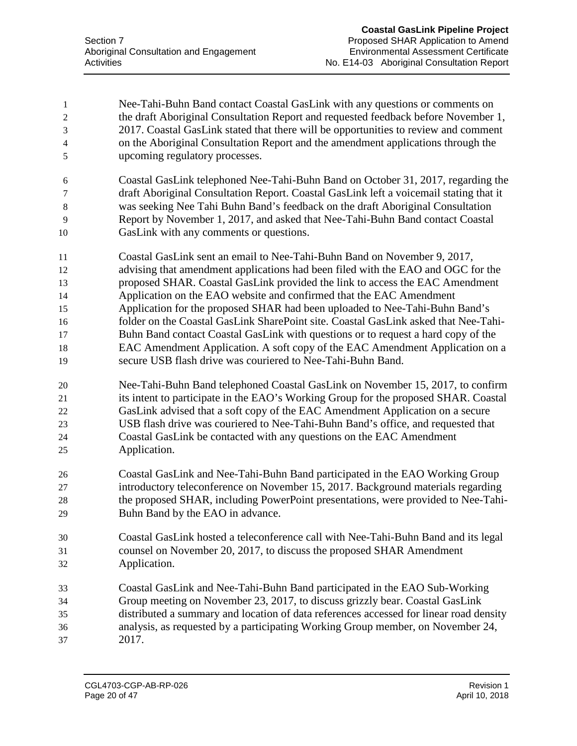| 1              | Nee-Tahi-Buhn Band contact Coastal GasLink with any questions or comments on           |
|----------------|----------------------------------------------------------------------------------------|
| $\overline{c}$ | the draft Aboriginal Consultation Report and requested feedback before November 1,     |
| $\mathfrak 3$  | 2017. Coastal GasLink stated that there will be opportunities to review and comment    |
| 4              | on the Aboriginal Consultation Report and the amendment applications through the       |
| 5              | upcoming regulatory processes.                                                         |
| 6              | Coastal GasLink telephoned Nee-Tahi-Buhn Band on October 31, 2017, regarding the       |
| 7              | draft Aboriginal Consultation Report. Coastal GasLink left a voicemail stating that it |
| 8              | was seeking Nee Tahi Buhn Band's feedback on the draft Aboriginal Consultation         |
| 9              | Report by November 1, 2017, and asked that Nee-Tahi-Buhn Band contact Coastal          |
| 10             | GasLink with any comments or questions.                                                |
| 11             | Coastal GasLink sent an email to Nee-Tahi-Buhn Band on November 9, 2017,               |
| 12             | advising that amendment applications had been filed with the EAO and OGC for the       |
| 13             | proposed SHAR. Coastal GasLink provided the link to access the EAC Amendment           |
| 14             | Application on the EAO website and confirmed that the EAC Amendment                    |
| 15             | Application for the proposed SHAR had been uploaded to Nee-Tahi-Buhn Band's            |
| 16             | folder on the Coastal GasLink SharePoint site. Coastal GasLink asked that Nee-Tahi-    |
| 17             | Buhn Band contact Coastal GasLink with questions or to request a hard copy of the      |
| 18             | EAC Amendment Application. A soft copy of the EAC Amendment Application on a           |
| 19             | secure USB flash drive was couriered to Nee-Tahi-Buhn Band.                            |
| $20\,$         | Nee-Tahi-Buhn Band telephoned Coastal GasLink on November 15, 2017, to confirm         |
| 21             | its intent to participate in the EAO's Working Group for the proposed SHAR. Coastal    |
| 22             | GasLink advised that a soft copy of the EAC Amendment Application on a secure          |
| 23             | USB flash drive was couriered to Nee-Tahi-Buhn Band's office, and requested that       |
| 24             | Coastal GasLink be contacted with any questions on the EAC Amendment                   |
| 25             | Application.                                                                           |
| 26             | Coastal GasLink and Nee-Tahi-Buhn Band participated in the EAO Working Group           |
| 27             | introductory teleconference on November 15, 2017. Background materials regarding       |
| 28             | the proposed SHAR, including PowerPoint presentations, were provided to Nee-Tahi-      |
| 29             | Buhn Band by the EAO in advance.                                                       |
| 30             | Coastal GasLink hosted a teleconference call with Nee-Tahi-Buhn Band and its legal     |
| 31             | counsel on November 20, 2017, to discuss the proposed SHAR Amendment                   |
| 32             | Application.                                                                           |
| 33             | Coastal GasLink and Nee-Tahi-Buhn Band participated in the EAO Sub-Working             |
| 34             | Group meeting on November 23, 2017, to discuss grizzly bear. Coastal GasLink           |
| 35             | distributed a summary and location of data references accessed for linear road density |
| 36             | analysis, as requested by a participating Working Group member, on November 24,        |
| 37             | 2017.                                                                                  |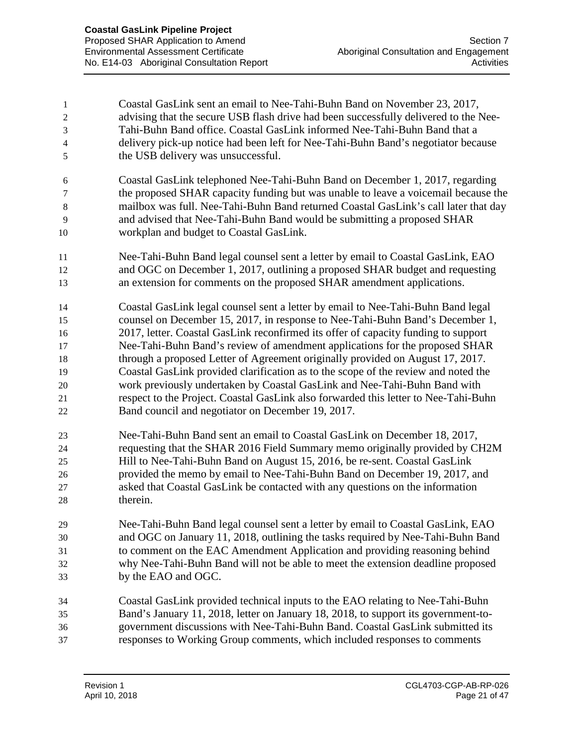| 1              | Coastal GasLink sent an email to Nee-Tahi-Buhn Band on November 23, 2017,            |
|----------------|--------------------------------------------------------------------------------------|
| $\overline{c}$ | advising that the secure USB flash drive had been successfully delivered to the Nee- |
| 3              | Tahi-Buhn Band office. Coastal GasLink informed Nee-Tahi-Buhn Band that a            |
| $\overline{4}$ | delivery pick-up notice had been left for Nee-Tahi-Buhn Band's negotiator because    |
| 5              | the USB delivery was unsuccessful.                                                   |
| 6              | Coastal GasLink telephoned Nee-Tahi-Buhn Band on December 1, 2017, regarding         |
| $\tau$         | the proposed SHAR capacity funding but was unable to leave a voicemail because the   |
| $\,8\,$        | mailbox was full. Nee-Tahi-Buhn Band returned Coastal GasLink's call later that day  |
| 9              | and advised that Nee-Tahi-Buhn Band would be submitting a proposed SHAR              |
| 10             | workplan and budget to Coastal GasLink.                                              |
| 11             | Nee-Tahi-Buhn Band legal counsel sent a letter by email to Coastal GasLink, EAO      |
| 12             | and OGC on December 1, 2017, outlining a proposed SHAR budget and requesting         |
| 13             | an extension for comments on the proposed SHAR amendment applications.               |
| 14             | Coastal GasLink legal counsel sent a letter by email to Nee-Tahi-Buhn Band legal     |
| 15             | counsel on December 15, 2017, in response to Nee-Tahi-Buhn Band's December 1,        |
| 16             | 2017, letter. Coastal GasLink reconfirmed its offer of capacity funding to support   |
| 17             | Nee-Tahi-Buhn Band's review of amendment applications for the proposed SHAR          |
| 18             | through a proposed Letter of Agreement originally provided on August 17, 2017.       |
| 19             | Coastal GasLink provided clarification as to the scope of the review and noted the   |
| 20             | work previously undertaken by Coastal GasLink and Nee-Tahi-Buhn Band with            |
| 21             | respect to the Project. Coastal GasLink also forwarded this letter to Nee-Tahi-Buhn  |
| 22             | Band council and negotiator on December 19, 2017.                                    |
| 23             | Nee-Tahi-Buhn Band sent an email to Coastal GasLink on December 18, 2017,            |
| 24             | requesting that the SHAR 2016 Field Summary memo originally provided by CH2M         |
| 25             | Hill to Nee-Tahi-Buhn Band on August 15, 2016, be re-sent. Coastal GasLink           |
| 26             | provided the memo by email to Nee-Tahi-Buhn Band on December 19, 2017, and           |
| 27             | asked that Coastal GasLink be contacted with any questions on the information        |
| 28             | therein.                                                                             |
| 29             | Nee-Tahi-Buhn Band legal counsel sent a letter by email to Coastal GasLink, EAO      |
| 30             | and OGC on January 11, 2018, outlining the tasks required by Nee-Tahi-Buhn Band      |
| 31             | to comment on the EAC Amendment Application and providing reasoning behind           |
| 32             | why Nee-Tahi-Buhn Band will not be able to meet the extension deadline proposed      |
| 33             | by the EAO and OGC.                                                                  |
| 34             | Coastal GasLink provided technical inputs to the EAO relating to Nee-Tahi-Buhn       |
| 35             | Band's January 11, 2018, letter on January 18, 2018, to support its government-to-   |
| 36             | government discussions with Nee-Tahi-Buhn Band. Coastal GasLink submitted its        |
| 37             | responses to Working Group comments, which included responses to comments            |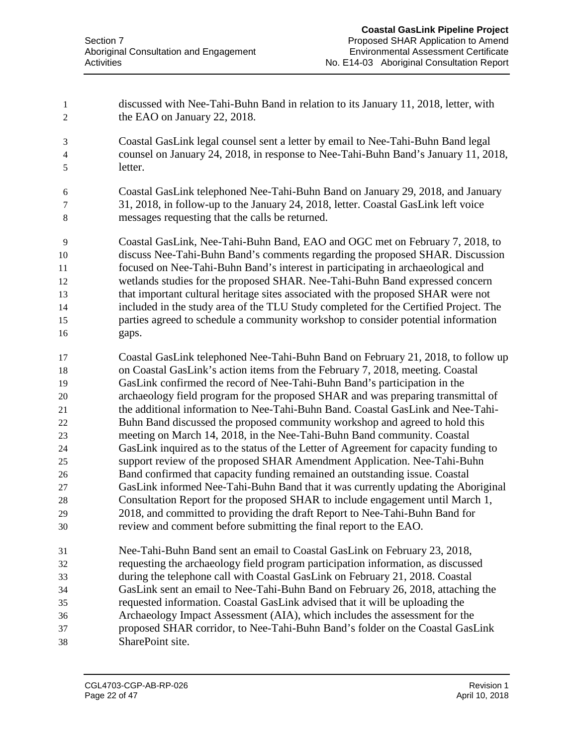discussed with Nee-Tahi-Buhn Band in relation to its January 11, 2018, letter, with the EAO on January 22, 2018. Coastal GasLink legal counsel sent a letter by email to Nee-Tahi-Buhn Band legal counsel on January 24, 2018, in response to Nee-Tahi-Buhn Band's January 11, 2018, letter. Coastal GasLink telephoned Nee-Tahi-Buhn Band on January 29, 2018, and January 31, 2018, in follow-up to the January 24, 2018, letter. Coastal GasLink left voice messages requesting that the calls be returned. Coastal GasLink, Nee-Tahi-Buhn Band, EAO and OGC met on February 7, 2018, to discuss Nee-Tahi-Buhn Band's comments regarding the proposed SHAR. Discussion focused on Nee-Tahi-Buhn Band's interest in participating in archaeological and wetlands studies for the proposed SHAR. Nee-Tahi-Buhn Band expressed concern that important cultural heritage sites associated with the proposed SHAR were not included in the study area of the TLU Study completed for the Certified Project. The parties agreed to schedule a community workshop to consider potential information gaps. Coastal GasLink telephoned Nee-Tahi-Buhn Band on February 21, 2018, to follow up on Coastal GasLink's action items from the February 7, 2018, meeting. Coastal GasLink confirmed the record of Nee-Tahi-Buhn Band's participation in the archaeology field program for the proposed SHAR and was preparing transmittal of the additional information to Nee-Tahi-Buhn Band. Coastal GasLink and Nee-Tahi- Buhn Band discussed the proposed community workshop and agreed to hold this meeting on March 14, 2018, in the Nee-Tahi-Buhn Band community. Coastal GasLink inquired as to the status of the Letter of Agreement for capacity funding to support review of the proposed SHAR Amendment Application. Nee-Tahi-Buhn Band confirmed that capacity funding remained an outstanding issue. Coastal GasLink informed Nee-Tahi-Buhn Band that it was currently updating the Aboriginal Consultation Report for the proposed SHAR to include engagement until March 1, 2018, and committed to providing the draft Report to Nee-Tahi-Buhn Band for review and comment before submitting the final report to the EAO. Nee-Tahi-Buhn Band sent an email to Coastal GasLink on February 23, 2018, requesting the archaeology field program participation information, as discussed during the telephone call with Coastal GasLink on February 21, 2018. Coastal GasLink sent an email to Nee-Tahi-Buhn Band on February 26, 2018, attaching the requested information. Coastal GasLink advised that it will be uploading the Archaeology Impact Assessment (AIA), which includes the assessment for the proposed SHAR corridor, to Nee-Tahi-Buhn Band's folder on the Coastal GasLink SharePoint site.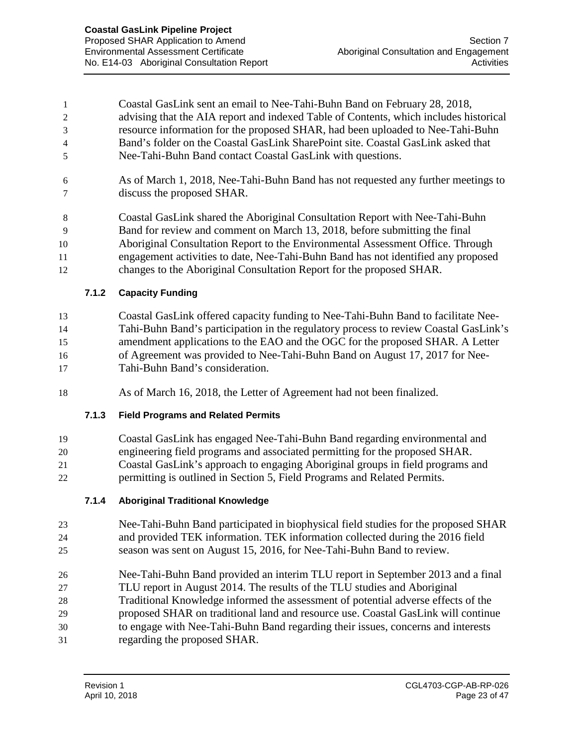Coastal GasLink sent an email to Nee-Tahi-Buhn Band on February 28, 2018, advising that the AIA report and indexed Table of Contents, which includes historical resource information for the proposed SHAR, had been uploaded to Nee-Tahi-Buhn Band's folder on the Coastal GasLink SharePoint site. Coastal GasLink asked that Nee-Tahi-Buhn Band contact Coastal GasLink with questions.

 As of March 1, 2018, Nee-Tahi-Buhn Band has not requested any further meetings to discuss the proposed SHAR.

 Coastal GasLink shared the Aboriginal Consultation Report with Nee-Tahi-Buhn Band for review and comment on March 13, 2018, before submitting the final Aboriginal Consultation Report to the Environmental Assessment Office. Through engagement activities to date, Nee-Tahi-Buhn Band has not identified any proposed changes to the Aboriginal Consultation Report for the proposed SHAR.

**7.1.2 Capacity Funding**

 Coastal GasLink offered capacity funding to Nee-Tahi-Buhn Band to facilitate Nee- Tahi-Buhn Band's participation in the regulatory process to review Coastal GasLink's amendment applications to the EAO and the OGC for the proposed SHAR. A Letter of Agreement was provided to Nee-Tahi-Buhn Band on August 17, 2017 for Nee-Tahi-Buhn Band's consideration.

As of March 16, 2018, the Letter of Agreement had not been finalized.

## **7.1.3 Field Programs and Related Permits**

 Coastal GasLink has engaged Nee-Tahi-Buhn Band regarding environmental and engineering field programs and associated permitting for the proposed SHAR. Coastal GasLink's approach to engaging Aboriginal groups in field programs and permitting is outlined in Section 5, Field Programs and Related Permits.

## **7.1.4 Aboriginal Traditional Knowledge**

- Nee-Tahi-Buhn Band participated in biophysical field studies for the proposed SHAR and provided TEK information. TEK information collected during the 2016 field season was sent on August 15, 2016, for Nee-Tahi-Buhn Band to review.
- Nee-Tahi-Buhn Band provided an interim TLU report in September 2013 and a final
- TLU report in August 2014. The results of the TLU studies and Aboriginal
- Traditional Knowledge informed the assessment of potential adverse effects of the
- proposed SHAR on traditional land and resource use. Coastal GasLink will continue
- to engage with Nee-Tahi-Buhn Band regarding their issues, concerns and interests
- regarding the proposed SHAR.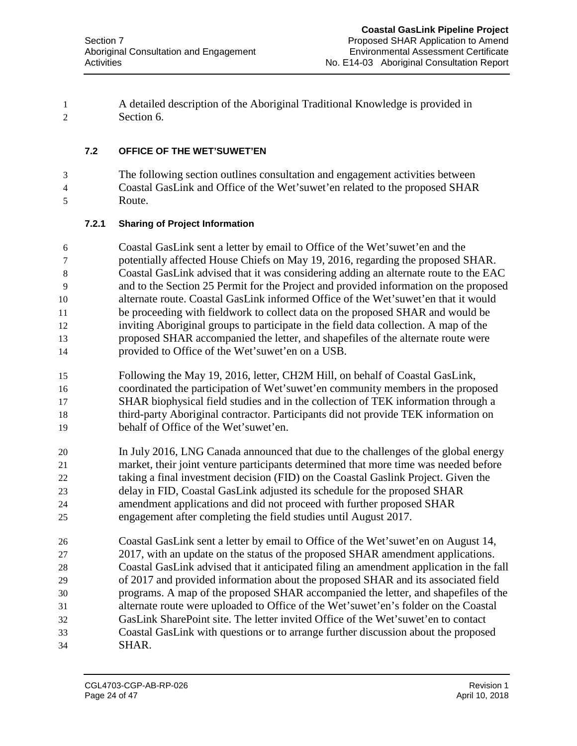A detailed description of the Aboriginal Traditional Knowledge is provided in Section 6.

## **7.2 OFFICE OF THE WET'SUWET'EN**

 The following section outlines consultation and engagement activities between Coastal GasLink and Office of the Wet'suwet'en related to the proposed SHAR Route.

## **7.2.1 Sharing of Project Information**

 Coastal GasLink sent a letter by email to Office of the Wet'suwet'en and the potentially affected House Chiefs on May 19, 2016, regarding the proposed SHAR. Coastal GasLink advised that it was considering adding an alternate route to the EAC and to the Section 25 Permit for the Project and provided information on the proposed alternate route. Coastal GasLink informed Office of the Wet'suwet'en that it would be proceeding with fieldwork to collect data on the proposed SHAR and would be inviting Aboriginal groups to participate in the field data collection. A map of the proposed SHAR accompanied the letter, and shapefiles of the alternate route were provided to Office of the Wet'suwet'en on a USB.

- Following the May 19, 2016, letter, CH2M Hill, on behalf of Coastal GasLink, coordinated the participation of Wet'suwet'en community members in the proposed SHAR biophysical field studies and in the collection of TEK information through a third-party Aboriginal contractor. Participants did not provide TEK information on behalf of Office of the Wet'suwet'en.
- In July 2016, LNG Canada announced that due to the challenges of the global energy market, their joint venture participants determined that more time was needed before taking a final investment decision (FID) on the Coastal Gaslink Project. Given the delay in FID, Coastal GasLink adjusted its schedule for the proposed SHAR amendment applications and did not proceed with further proposed SHAR engagement after completing the field studies until August 2017.
- Coastal GasLink sent a letter by email to Office of the Wet'suwet'en on August 14, 2017, with an update on the status of the proposed SHAR amendment applications. Coastal GasLink advised that it anticipated filing an amendment application in the fall of 2017 and provided information about the proposed SHAR and its associated field programs. A map of the proposed SHAR accompanied the letter, and shapefiles of the alternate route were uploaded to Office of the Wet'suwet'en's folder on the Coastal GasLink SharePoint site. The letter invited Office of the Wet'suwet'en to contact Coastal GasLink with questions or to arrange further discussion about the proposed SHAR.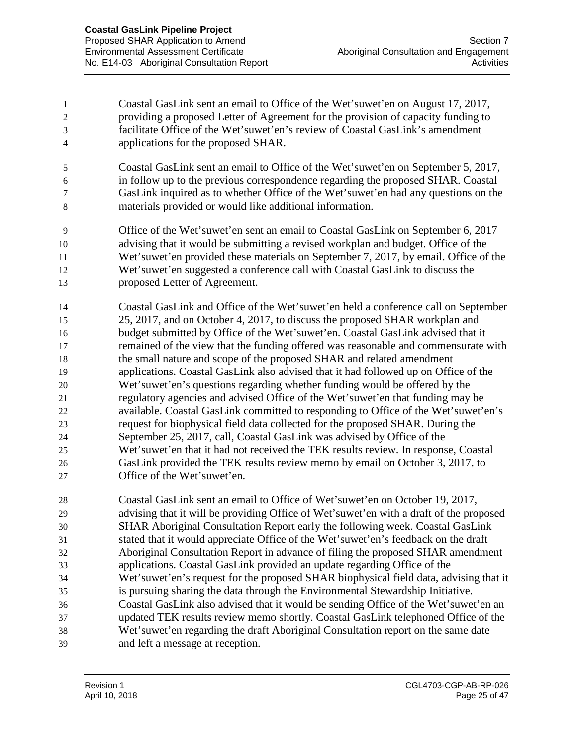Coastal GasLink sent an email to Office of the Wet'suwet'en on August 17, 2017, providing a proposed Letter of Agreement for the provision of capacity funding to facilitate Office of the Wet'suwet'en's review of Coastal GasLink's amendment applications for the proposed SHAR.

- Coastal GasLink sent an email to Office of the Wet'suwet'en on September 5, 2017, in follow up to the previous correspondence regarding the proposed SHAR. Coastal GasLink inquired as to whether Office of the Wet'suwet'en had any questions on the materials provided or would like additional information.
- Office of the Wet'suwet'en sent an email to Coastal GasLink on September 6, 2017 advising that it would be submitting a revised workplan and budget. Office of the Wet'suwet'en provided these materials on September 7, 2017, by email. Office of the Wet'suwet'en suggested a conference call with Coastal GasLink to discuss the proposed Letter of Agreement.
- Coastal GasLink and Office of the Wet'suwet'en held a conference call on September 25, 2017, and on October 4, 2017, to discuss the proposed SHAR workplan and budget submitted by Office of the Wet'suwet'en. Coastal GasLink advised that it remained of the view that the funding offered was reasonable and commensurate with the small nature and scope of the proposed SHAR and related amendment applications. Coastal GasLink also advised that it had followed up on Office of the Wet'suwet'en's questions regarding whether funding would be offered by the regulatory agencies and advised Office of the Wet'suwet'en that funding may be available. Coastal GasLink committed to responding to Office of the Wet'suwet'en's request for biophysical field data collected for the proposed SHAR. During the September 25, 2017, call, Coastal GasLink was advised by Office of the Wet'suwet'en that it had not received the TEK results review. In response, Coastal GasLink provided the TEK results review memo by email on October 3, 2017, to Office of the Wet'suwet'en.
- Coastal GasLink sent an email to Office of Wet'suwet'en on October 19, 2017, advising that it will be providing Office of Wet'suwet'en with a draft of the proposed SHAR Aboriginal Consultation Report early the following week. Coastal GasLink stated that it would appreciate Office of the Wet'suwet'en's feedback on the draft Aboriginal Consultation Report in advance of filing the proposed SHAR amendment applications. Coastal GasLink provided an update regarding Office of the Wet'suwet'en's request for the proposed SHAR biophysical field data, advising that it is pursuing sharing the data through the Environmental Stewardship Initiative. Coastal GasLink also advised that it would be sending Office of the Wet'suwet'en an updated TEK results review memo shortly. Coastal GasLink telephoned Office of the Wet'suwet'en regarding the draft Aboriginal Consultation report on the same date and left a message at reception.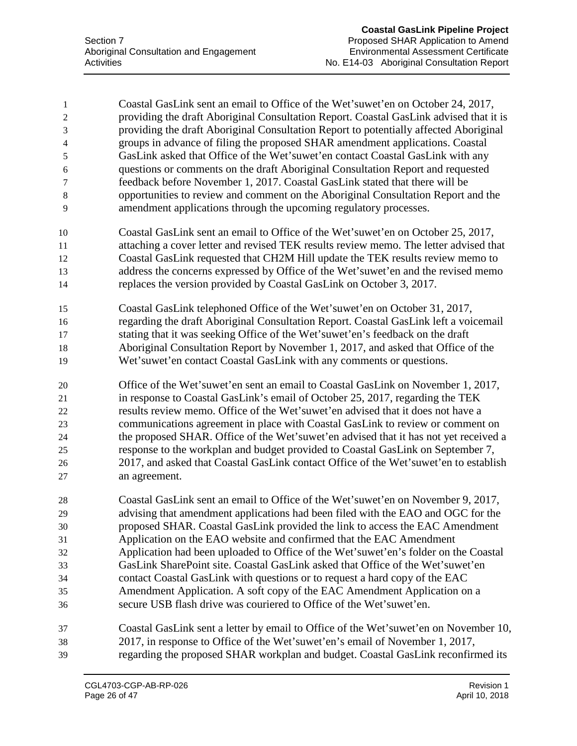Coastal GasLink sent an email to Office of the Wet'suwet'en on October 24, 2017, providing the draft Aboriginal Consultation Report. Coastal GasLink advised that it is providing the draft Aboriginal Consultation Report to potentially affected Aboriginal groups in advance of filing the proposed SHAR amendment applications. Coastal GasLink asked that Office of the Wet'suwet'en contact Coastal GasLink with any questions or comments on the draft Aboriginal Consultation Report and requested feedback before November 1, 2017. Coastal GasLink stated that there will be opportunities to review and comment on the Aboriginal Consultation Report and the amendment applications through the upcoming regulatory processes. Coastal GasLink sent an email to Office of the Wet'suwet'en on October 25, 2017, attaching a cover letter and revised TEK results review memo. The letter advised that Coastal GasLink requested that CH2M Hill update the TEK results review memo to address the concerns expressed by Office of the Wet'suwet'en and the revised memo replaces the version provided by Coastal GasLink on October 3, 2017. Coastal GasLink telephoned Office of the Wet'suwet'en on October 31, 2017, regarding the draft Aboriginal Consultation Report. Coastal GasLink left a voicemail stating that it was seeking Office of the Wet'suwet'en's feedback on the draft Aboriginal Consultation Report by November 1, 2017, and asked that Office of the Wet'suwet'en contact Coastal GasLink with any comments or questions. Office of the Wet'suwet'en sent an email to Coastal GasLink on November 1, 2017, in response to Coastal GasLink's email of October 25, 2017, regarding the TEK results review memo. Office of the Wet'suwet'en advised that it does not have a communications agreement in place with Coastal GasLink to review or comment on the proposed SHAR. Office of the Wet'suwet'en advised that it has not yet received a response to the workplan and budget provided to Coastal GasLink on September 7, 2017, and asked that Coastal GasLink contact Office of the Wet'suwet'en to establish an agreement. Coastal GasLink sent an email to Office of the Wet'suwet'en on November 9, 2017, advising that amendment applications had been filed with the EAO and OGC for the proposed SHAR. Coastal GasLink provided the link to access the EAC Amendment Application on the EAO website and confirmed that the EAC Amendment Application had been uploaded to Office of the Wet'suwet'en's folder on the Coastal GasLink SharePoint site. Coastal GasLink asked that Office of the Wet'suwet'en contact Coastal GasLink with questions or to request a hard copy of the EAC Amendment Application. A soft copy of the EAC Amendment Application on a secure USB flash drive was couriered to Office of the Wet'suwet'en. Coastal GasLink sent a letter by email to Office of the Wet'suwet'en on November 10, 2017, in response to Office of the Wet'suwet'en's email of November 1, 2017, regarding the proposed SHAR workplan and budget. Coastal GasLink reconfirmed its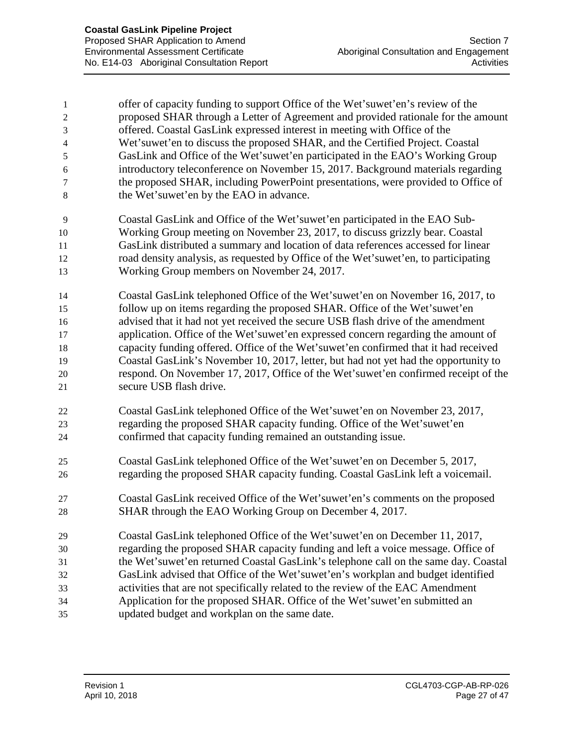| 1              | offer of capacity funding to support Office of the Wet'suwet'en's review of the     |
|----------------|-------------------------------------------------------------------------------------|
| $\overline{c}$ | proposed SHAR through a Letter of Agreement and provided rationale for the amount   |
| 3              | offered. Coastal GasLink expressed interest in meeting with Office of the           |
| $\overline{4}$ | Wet'suwet'en to discuss the proposed SHAR, and the Certified Project. Coastal       |
| 5              | GasLink and Office of the Wet'suwet'en participated in the EAO's Working Group      |
| 6              | introductory teleconference on November 15, 2017. Background materials regarding    |
| 7              | the proposed SHAR, including PowerPoint presentations, were provided to Office of   |
| $8\,$          | the Wet'suwet'en by the EAO in advance.                                             |
| 9              | Coastal GasLink and Office of the Wet'suwet'en participated in the EAO Sub-         |
| 10             | Working Group meeting on November 23, 2017, to discuss grizzly bear. Coastal        |
| 11             | GasLink distributed a summary and location of data references accessed for linear   |
| 12             | road density analysis, as requested by Office of the Wet'suwet'en, to participating |
| 13             | Working Group members on November 24, 2017.                                         |
| 14             | Coastal GasLink telephoned Office of the Wet'suwet'en on November 16, 2017, to      |
| 15             | follow up on items regarding the proposed SHAR. Office of the Wet'suwet'en          |
| 16             | advised that it had not yet received the secure USB flash drive of the amendment    |
| 17             | application. Office of the Wet'suwet'en expressed concern regarding the amount of   |
| 18             | capacity funding offered. Office of the Wet'suwet'en confirmed that it had received |
| 19             | Coastal GasLink's November 10, 2017, letter, but had not yet had the opportunity to |
| 20             | respond. On November 17, 2017, Office of the Wet'suwet'en confirmed receipt of the  |
| 21             | secure USB flash drive.                                                             |
| 22             | Coastal GasLink telephoned Office of the Wet'suwet'en on November 23, 2017,         |
| 23             | regarding the proposed SHAR capacity funding. Office of the Wet'suwet'en            |
| 24             | confirmed that capacity funding remained an outstanding issue.                      |
| 25             | Coastal GasLink telephoned Office of the Wet'suwet'en on December 5, 2017,          |
| 26             | regarding the proposed SHAR capacity funding. Coastal GasLink left a voicemail.     |
| 27             | Coastal GasLink received Office of the Wet'suwet'en's comments on the proposed      |
| 28             | SHAR through the EAO Working Group on December 4, 2017.                             |
| 29             | Coastal GasLink telephoned Office of the Wet'suwet'en on December 11, 2017,         |
| 30             | regarding the proposed SHAR capacity funding and left a voice message. Office of    |
| 31             | the Wet'suwet'en returned Coastal GasLink's telephone call on the same day. Coastal |
| 32             | GasLink advised that Office of the Wet'suwet'en's workplan and budget identified    |
| 33             | activities that are not specifically related to the review of the EAC Amendment     |
| 34             | Application for the proposed SHAR. Office of the Wet'suwet'en submitted an          |
| 35             | updated budget and workplan on the same date.                                       |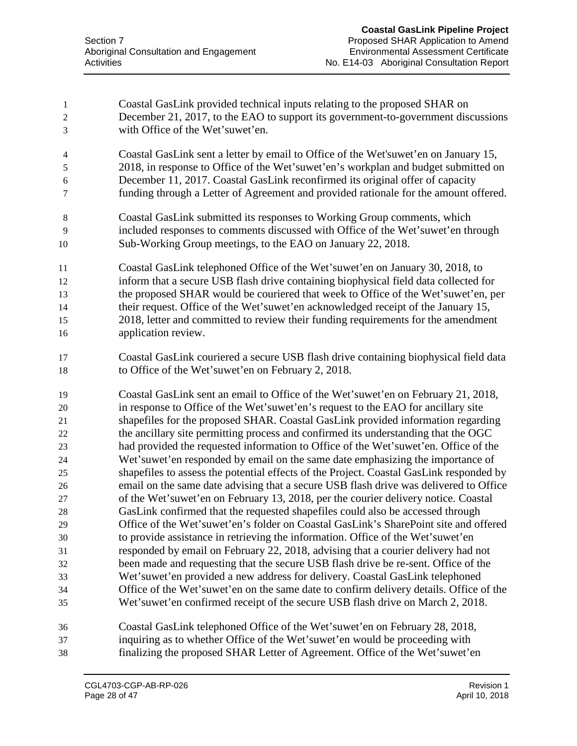Coastal GasLink provided technical inputs relating to the proposed SHAR on December 21, 2017, to the EAO to support its government-to-government discussions with Office of the Wet'suwet'en. Coastal GasLink sent a letter by email to Office of the Wet'suwet'en on January 15, 2018, in response to Office of the Wet'suwet'en's workplan and budget submitted on December 11, 2017. Coastal GasLink reconfirmed its original offer of capacity funding through a Letter of Agreement and provided rationale for the amount offered. Coastal GasLink submitted its responses to Working Group comments, which included responses to comments discussed with Office of the Wet'suwet'en through Sub-Working Group meetings, to the EAO on January 22, 2018. Coastal GasLink telephoned Office of the Wet'suwet'en on January 30, 2018, to inform that a secure USB flash drive containing biophysical field data collected for the proposed SHAR would be couriered that week to Office of the Wet'suwet'en, per their request. Office of the Wet'suwet'en acknowledged receipt of the January 15, 2018, letter and committed to review their funding requirements for the amendment application review. Coastal GasLink couriered a secure USB flash drive containing biophysical field data to Office of the Wet'suwet'en on February 2, 2018. Coastal GasLink sent an email to Office of the Wet'suwet'en on February 21, 2018, in response to Office of the Wet'suwet'en's request to the EAO for ancillary site shapefiles for the proposed SHAR. Coastal GasLink provided information regarding the ancillary site permitting process and confirmed its understanding that the OGC had provided the requested information to Office of the Wet'suwet'en. Office of the Wet'suwet'en responded by email on the same date emphasizing the importance of shapefiles to assess the potential effects of the Project. Coastal GasLink responded by email on the same date advising that a secure USB flash drive was delivered to Office of the Wet'suwet'en on February 13, 2018, per the courier delivery notice. Coastal GasLink confirmed that the requested shapefiles could also be accessed through Office of the Wet'suwet'en's folder on Coastal GasLink's SharePoint site and offered to provide assistance in retrieving the information. Office of the Wet'suwet'en responded by email on February 22, 2018, advising that a courier delivery had not been made and requesting that the secure USB flash drive be re-sent. Office of the Wet'suwet'en provided a new address for delivery. Coastal GasLink telephoned Office of the Wet'suwet'en on the same date to confirm delivery details. Office of the Wet'suwet'en confirmed receipt of the secure USB flash drive on March 2, 2018. Coastal GasLink telephoned Office of the Wet'suwet'en on February 28, 2018, inquiring as to whether Office of the Wet'suwet'en would be proceeding with finalizing the proposed SHAR Letter of Agreement. Office of the Wet'suwet'en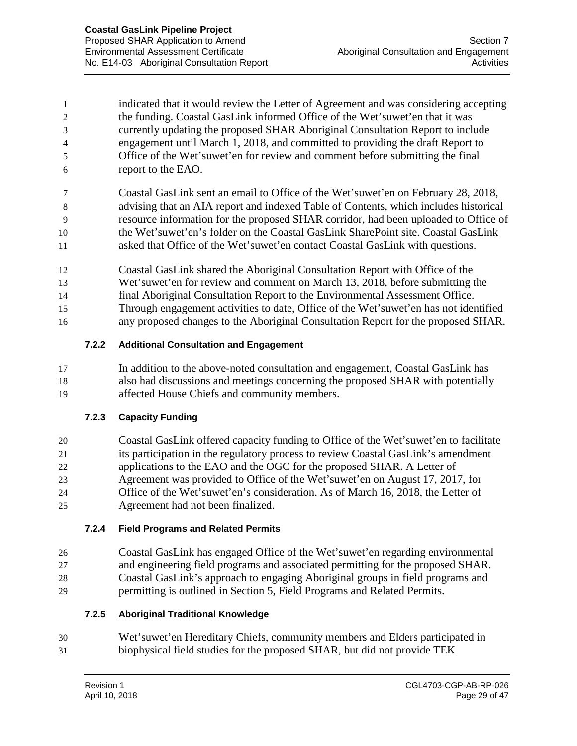indicated that it would review the Letter of Agreement and was considering accepting the funding. Coastal GasLink informed Office of the Wet'suwet'en that it was currently updating the proposed SHAR Aboriginal Consultation Report to include engagement until March 1, 2018, and committed to providing the draft Report to Office of the Wet'suwet'en for review and comment before submitting the final report to the EAO.

 Coastal GasLink sent an email to Office of the Wet'suwet'en on February 28, 2018, advising that an AIA report and indexed Table of Contents, which includes historical resource information for the proposed SHAR corridor, had been uploaded to Office of the Wet'suwet'en's folder on the Coastal GasLink SharePoint site. Coastal GasLink asked that Office of the Wet'suwet'en contact Coastal GasLink with questions.

- Coastal GasLink shared the Aboriginal Consultation Report with Office of the
- Wet'suwet'en for review and comment on March 13, 2018, before submitting the
- final Aboriginal Consultation Report to the Environmental Assessment Office.
- Through engagement activities to date, Office of the Wet'suwet'en has not identified
- any proposed changes to the Aboriginal Consultation Report for the proposed SHAR.

## **7.2.2 Additional Consultation and Engagement**

 In addition to the above-noted consultation and engagement, Coastal GasLink has also had discussions and meetings concerning the proposed SHAR with potentially affected House Chiefs and community members.

## **7.2.3 Capacity Funding**

 Coastal GasLink offered capacity funding to Office of the Wet'suwet'en to facilitate its participation in the regulatory process to review Coastal GasLink's amendment applications to the EAO and the OGC for the proposed SHAR. A Letter of Agreement was provided to Office of the Wet'suwet'en on August 17, 2017, for Office of the Wet'suwet'en's consideration. As of March 16, 2018, the Letter of Agreement had not been finalized.

## **7.2.4 Field Programs and Related Permits**

 Coastal GasLink has engaged Office of the Wet'suwet'en regarding environmental and engineering field programs and associated permitting for the proposed SHAR. Coastal GasLink's approach to engaging Aboriginal groups in field programs and permitting is outlined in Section 5, Field Programs and Related Permits.

## **7.2.5 Aboriginal Traditional Knowledge**

 Wet'suwet'en Hereditary Chiefs, community members and Elders participated in biophysical field studies for the proposed SHAR, but did not provide TEK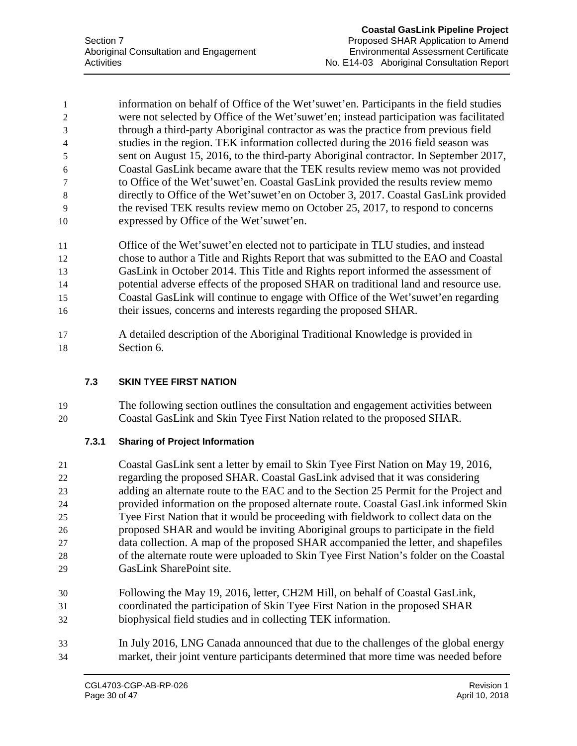information on behalf of Office of the Wet'suwet'en. Participants in the field studies were not selected by Office of the Wet'suwet'en; instead participation was facilitated through a third-party Aboriginal contractor as was the practice from previous field studies in the region. TEK information collected during the 2016 field season was sent on August 15, 2016, to the third-party Aboriginal contractor. In September 2017, Coastal GasLink became aware that the TEK results review memo was not provided to Office of the Wet'suwet'en. Coastal GasLink provided the results review memo directly to Office of the Wet'suwet'en on October 3, 2017. Coastal GasLink provided the revised TEK results review memo on October 25, 2017, to respond to concerns expressed by Office of the Wet'suwet'en.

- Office of the Wet'suwet'en elected not to participate in TLU studies, and instead chose to author a Title and Rights Report that was submitted to the EAO and Coastal GasLink in October 2014. This Title and Rights report informed the assessment of potential adverse effects of the proposed SHAR on traditional land and resource use. Coastal GasLink will continue to engage with Office of the Wet'suwet'en regarding their issues, concerns and interests regarding the proposed SHAR.
- A detailed description of the Aboriginal Traditional Knowledge is provided in Section 6.

## **7.3 SKIN TYEE FIRST NATION**

 The following section outlines the consultation and engagement activities between Coastal GasLink and Skin Tyee First Nation related to the proposed SHAR.

## **7.3.1 Sharing of Project Information**

- Coastal GasLink sent a letter by email to Skin Tyee First Nation on May 19, 2016, regarding the proposed SHAR. Coastal GasLink advised that it was considering adding an alternate route to the EAC and to the Section 25 Permit for the Project and provided information on the proposed alternate route. Coastal GasLink informed Skin Tyee First Nation that it would be proceeding with fieldwork to collect data on the proposed SHAR and would be inviting Aboriginal groups to participate in the field data collection. A map of the proposed SHAR accompanied the letter, and shapefiles of the alternate route were uploaded to Skin Tyee First Nation's folder on the Coastal GasLink SharePoint site.
- Following the May 19, 2016, letter, CH2M Hill, on behalf of Coastal GasLink, coordinated the participation of Skin Tyee First Nation in the proposed SHAR biophysical field studies and in collecting TEK information.
- In July 2016, LNG Canada announced that due to the challenges of the global energy market, their joint venture participants determined that more time was needed before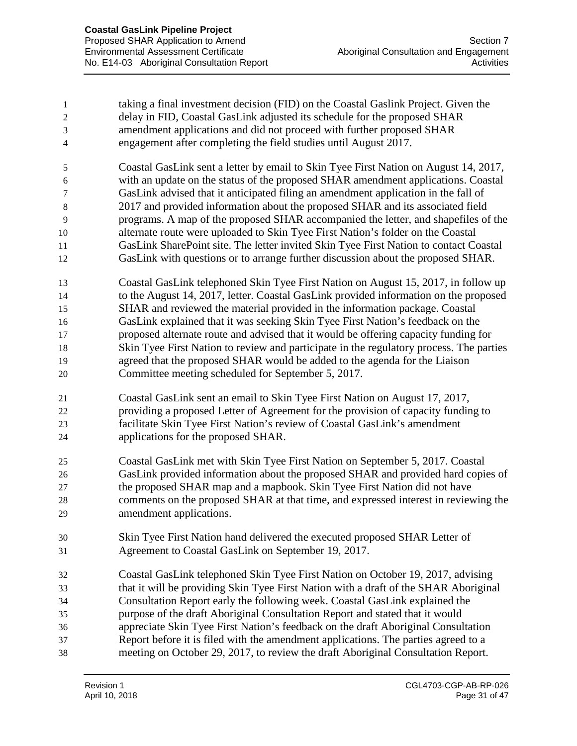| $\mathbf{L}$   | taking a final investment decision (FID) on the Coastal Gaslink Project. Given the |
|----------------|------------------------------------------------------------------------------------|
|                | delay in FID, Coastal GasLink adjusted its schedule for the proposed SHAR          |
| 3              | amendment applications and did not proceed with further proposed SHAR              |
| $\overline{4}$ | engagement after completing the field studies until August 2017.                   |

 Coastal GasLink sent a letter by email to Skin Tyee First Nation on August 14, 2017, with an update on the status of the proposed SHAR amendment applications. Coastal GasLink advised that it anticipated filing an amendment application in the fall of 2017 and provided information about the proposed SHAR and its associated field programs. A map of the proposed SHAR accompanied the letter, and shapefiles of the alternate route were uploaded to Skin Tyee First Nation's folder on the Coastal GasLink SharePoint site. The letter invited Skin Tyee First Nation to contact Coastal GasLink with questions or to arrange further discussion about the proposed SHAR.

 Coastal GasLink telephoned Skin Tyee First Nation on August 15, 2017, in follow up to the August 14, 2017, letter. Coastal GasLink provided information on the proposed SHAR and reviewed the material provided in the information package. Coastal GasLink explained that it was seeking Skin Tyee First Nation's feedback on the proposed alternate route and advised that it would be offering capacity funding for Skin Tyee First Nation to review and participate in the regulatory process. The parties agreed that the proposed SHAR would be added to the agenda for the Liaison Committee meeting scheduled for September 5, 2017.

- Coastal GasLink sent an email to Skin Tyee First Nation on August 17, 2017, providing a proposed Letter of Agreement for the provision of capacity funding to facilitate Skin Tyee First Nation's review of Coastal GasLink's amendment applications for the proposed SHAR.
- Coastal GasLink met with Skin Tyee First Nation on September 5, 2017. Coastal GasLink provided information about the proposed SHAR and provided hard copies of the proposed SHAR map and a mapbook. Skin Tyee First Nation did not have comments on the proposed SHAR at that time, and expressed interest in reviewing the amendment applications.
- Skin Tyee First Nation hand delivered the executed proposed SHAR Letter of Agreement to Coastal GasLink on September 19, 2017.
- Coastal GasLink telephoned Skin Tyee First Nation on October 19, 2017, advising that it will be providing Skin Tyee First Nation with a draft of the SHAR Aboriginal Consultation Report early the following week. Coastal GasLink explained the purpose of the draft Aboriginal Consultation Report and stated that it would appreciate Skin Tyee First Nation's feedback on the draft Aboriginal Consultation Report before it is filed with the amendment applications. The parties agreed to a meeting on October 29, 2017, to review the draft Aboriginal Consultation Report.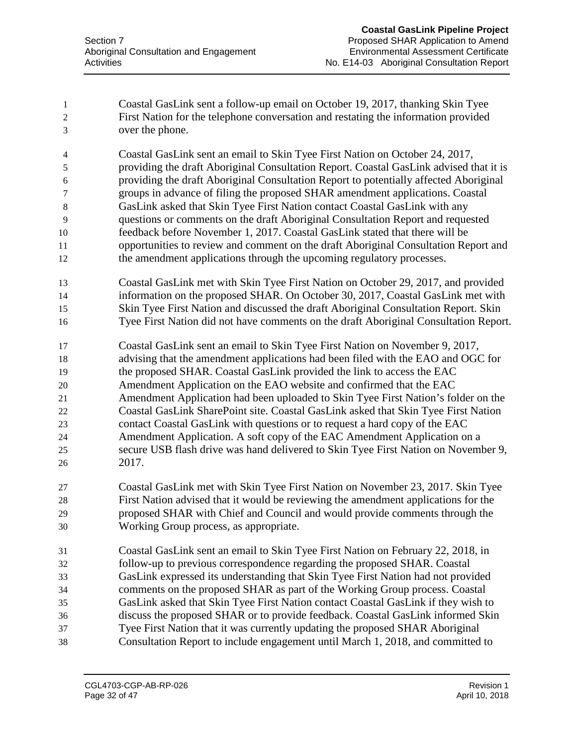Coastal GasLink sent a follow-up email on October 19, 2017, thanking Skin Tyee First Nation for the telephone conversation and restating the information provided over the phone.

 Coastal GasLink sent an email to Skin Tyee First Nation on October 24, 2017, providing the draft Aboriginal Consultation Report. Coastal GasLink advised that it is providing the draft Aboriginal Consultation Report to potentially affected Aboriginal groups in advance of filing the proposed SHAR amendment applications. Coastal GasLink asked that Skin Tyee First Nation contact Coastal GasLink with any questions or comments on the draft Aboriginal Consultation Report and requested feedback before November 1, 2017. Coastal GasLink stated that there will be opportunities to review and comment on the draft Aboriginal Consultation Report and the amendment applications through the upcoming regulatory processes.

- Coastal GasLink met with Skin Tyee First Nation on October 29, 2017, and provided information on the proposed SHAR. On October 30, 2017, Coastal GasLink met with Skin Tyee First Nation and discussed the draft Aboriginal Consultation Report. Skin Tyee First Nation did not have comments on the draft Aboriginal Consultation Report.
- Coastal GasLink sent an email to Skin Tyee First Nation on November 9, 2017, advising that the amendment applications had been filed with the EAO and OGC for the proposed SHAR. Coastal GasLink provided the link to access the EAC Amendment Application on the EAO website and confirmed that the EAC Amendment Application had been uploaded to Skin Tyee First Nation's folder on the Coastal GasLink SharePoint site. Coastal GasLink asked that Skin Tyee First Nation contact Coastal GasLink with questions or to request a hard copy of the EAC Amendment Application. A soft copy of the EAC Amendment Application on a secure USB flash drive was hand delivered to Skin Tyee First Nation on November 9,
- 2017.
- Coastal GasLink met with Skin Tyee First Nation on November 23, 2017. Skin Tyee First Nation advised that it would be reviewing the amendment applications for the proposed SHAR with Chief and Council and would provide comments through the Working Group process, as appropriate.
- Coastal GasLink sent an email to Skin Tyee First Nation on February 22, 2018, in follow-up to previous correspondence regarding the proposed SHAR. Coastal GasLink expressed its understanding that Skin Tyee First Nation had not provided comments on the proposed SHAR as part of the Working Group process. Coastal GasLink asked that Skin Tyee First Nation contact Coastal GasLink if they wish to discuss the proposed SHAR or to provide feedback. Coastal GasLink informed Skin Tyee First Nation that it was currently updating the proposed SHAR Aboriginal Consultation Report to include engagement until March 1, 2018, and committed to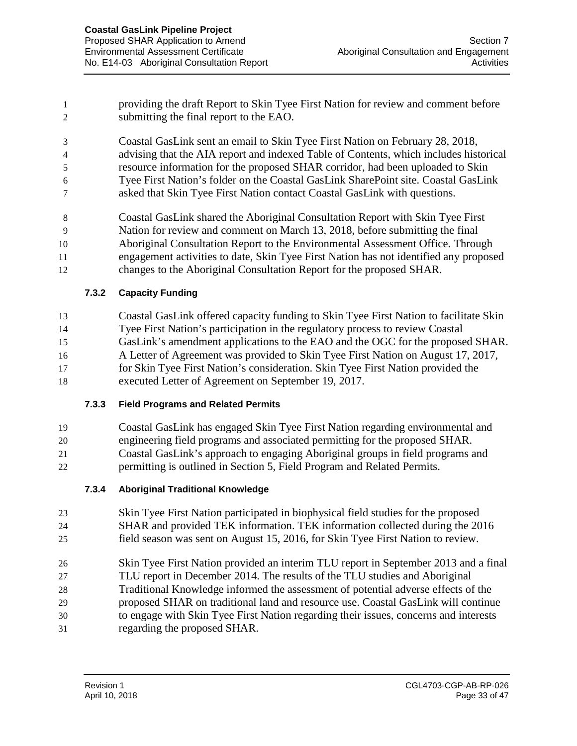providing the draft Report to Skin Tyee First Nation for review and comment before submitting the final report to the EAO.

 Coastal GasLink sent an email to Skin Tyee First Nation on February 28, 2018, advising that the AIA report and indexed Table of Contents, which includes historical resource information for the proposed SHAR corridor, had been uploaded to Skin Tyee First Nation's folder on the Coastal GasLink SharePoint site. Coastal GasLink asked that Skin Tyee First Nation contact Coastal GasLink with questions.

 Coastal GasLink shared the Aboriginal Consultation Report with Skin Tyee First Nation for review and comment on March 13, 2018, before submitting the final Aboriginal Consultation Report to the Environmental Assessment Office. Through engagement activities to date, Skin Tyee First Nation has not identified any proposed

changes to the Aboriginal Consultation Report for the proposed SHAR.

## **7.3.2 Capacity Funding**

 Coastal GasLink offered capacity funding to Skin Tyee First Nation to facilitate Skin Tyee First Nation's participation in the regulatory process to review Coastal GasLink's amendment applications to the EAO and the OGC for the proposed SHAR. A Letter of Agreement was provided to Skin Tyee First Nation on August 17, 2017, for Skin Tyee First Nation's consideration. Skin Tyee First Nation provided the executed Letter of Agreement on September 19, 2017.

## **7.3.3 Field Programs and Related Permits**

Coastal GasLink has engaged Skin Tyee First Nation regarding environmental and

 engineering field programs and associated permitting for the proposed SHAR. Coastal GasLink's approach to engaging Aboriginal groups in field programs and permitting is outlined in Section 5, Field Program and Related Permits.

- **7.3.4 Aboriginal Traditional Knowledge**
- Skin Tyee First Nation participated in biophysical field studies for the proposed SHAR and provided TEK information. TEK information collected during the 2016
- field season was sent on August 15, 2016, for Skin Tyee First Nation to review.
- Skin Tyee First Nation provided an interim TLU report in September 2013 and a final TLU report in December 2014. The results of the TLU studies and Aboriginal Traditional Knowledge informed the assessment of potential adverse effects of the proposed SHAR on traditional land and resource use. Coastal GasLink will continue
- to engage with Skin Tyee First Nation regarding their issues, concerns and interests regarding the proposed SHAR.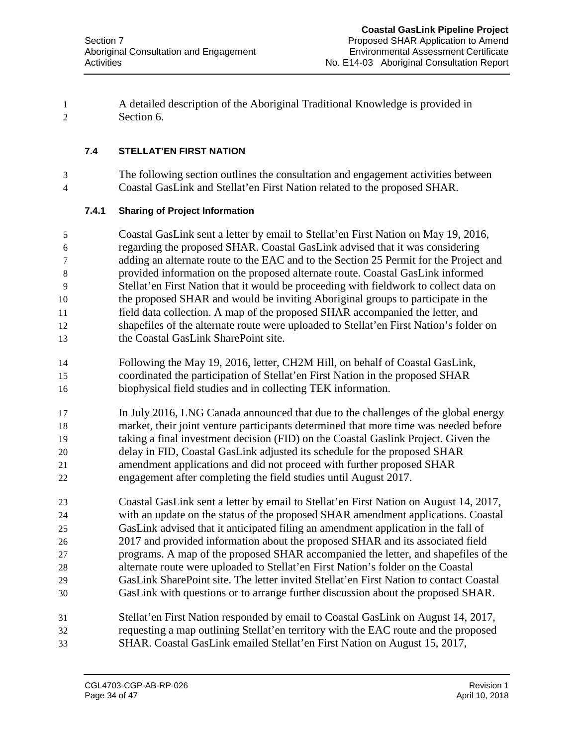A detailed description of the Aboriginal Traditional Knowledge is provided in Section 6.

## **7.4 STELLAT'EN FIRST NATION**

 The following section outlines the consultation and engagement activities between Coastal GasLink and Stellat'en First Nation related to the proposed SHAR.

## **7.4.1 Sharing of Project Information**

 Coastal GasLink sent a letter by email to Stellat'en First Nation on May 19, 2016, regarding the proposed SHAR. Coastal GasLink advised that it was considering adding an alternate route to the EAC and to the Section 25 Permit for the Project and provided information on the proposed alternate route. Coastal GasLink informed Stellat'en First Nation that it would be proceeding with fieldwork to collect data on the proposed SHAR and would be inviting Aboriginal groups to participate in the field data collection. A map of the proposed SHAR accompanied the letter, and shapefiles of the alternate route were uploaded to Stellat'en First Nation's folder on the Coastal GasLink SharePoint site.

- Following the May 19, 2016, letter, CH2M Hill, on behalf of Coastal GasLink, coordinated the participation of Stellat'en First Nation in the proposed SHAR biophysical field studies and in collecting TEK information.
- In July 2016, LNG Canada announced that due to the challenges of the global energy market, their joint venture participants determined that more time was needed before taking a final investment decision (FID) on the Coastal Gaslink Project. Given the delay in FID, Coastal GasLink adjusted its schedule for the proposed SHAR amendment applications and did not proceed with further proposed SHAR engagement after completing the field studies until August 2017.
- Coastal GasLink sent a letter by email to Stellat'en First Nation on August 14, 2017, with an update on the status of the proposed SHAR amendment applications. Coastal GasLink advised that it anticipated filing an amendment application in the fall of 2017 and provided information about the proposed SHAR and its associated field programs. A map of the proposed SHAR accompanied the letter, and shapefiles of the alternate route were uploaded to Stellat'en First Nation's folder on the Coastal GasLink SharePoint site. The letter invited Stellat'en First Nation to contact Coastal GasLink with questions or to arrange further discussion about the proposed SHAR.
- Stellat'en First Nation responded by email to Coastal GasLink on August 14, 2017, requesting a map outlining Stellat'en territory with the EAC route and the proposed SHAR. Coastal GasLink emailed Stellat'en First Nation on August 15, 2017,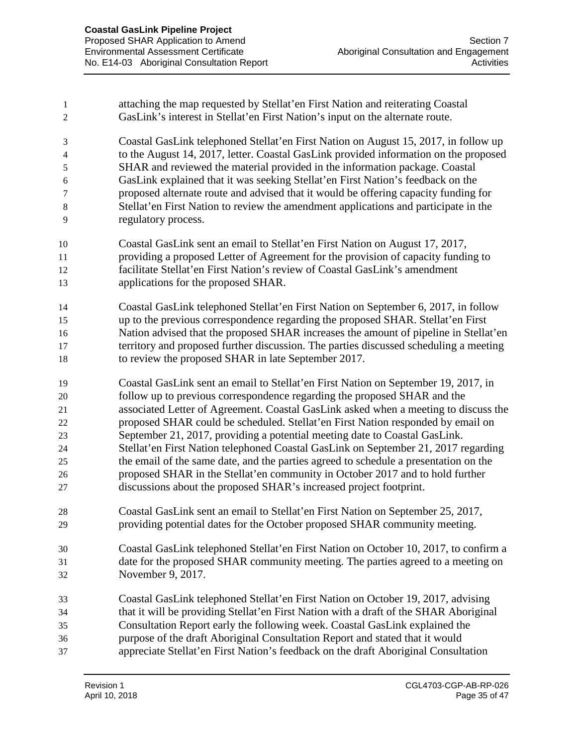| 1<br>$\mathfrak{2}$ | attaching the map requested by Stellat'en First Nation and reiterating Coastal<br>GasLink's interest in Stellat'en First Nation's input on the alternate route. |
|---------------------|-----------------------------------------------------------------------------------------------------------------------------------------------------------------|
| 3                   | Coastal GasLink telephoned Stellat'en First Nation on August 15, 2017, in follow up                                                                             |
| $\overline{4}$      | to the August 14, 2017, letter. Coastal GasLink provided information on the proposed                                                                            |
| 5                   | SHAR and reviewed the material provided in the information package. Coastal                                                                                     |
| 6                   | GasLink explained that it was seeking Stellat'en First Nation's feedback on the                                                                                 |
| $\tau$              | proposed alternate route and advised that it would be offering capacity funding for                                                                             |
| $8\,$               | Stellat'en First Nation to review the amendment applications and participate in the                                                                             |
| 9                   | regulatory process.                                                                                                                                             |
| 10                  | Coastal GasLink sent an email to Stellat'en First Nation on August 17, 2017,                                                                                    |
| 11                  | providing a proposed Letter of Agreement for the provision of capacity funding to                                                                               |
| 12                  | facilitate Stellat'en First Nation's review of Coastal GasLink's amendment                                                                                      |
| 13                  | applications for the proposed SHAR.                                                                                                                             |
| 14                  | Coastal GasLink telephoned Stellat'en First Nation on September 6, 2017, in follow                                                                              |
| 15                  | up to the previous correspondence regarding the proposed SHAR. Stellat'en First                                                                                 |
| 16                  | Nation advised that the proposed SHAR increases the amount of pipeline in Stellat'en                                                                            |
| 17                  | territory and proposed further discussion. The parties discussed scheduling a meeting                                                                           |
| 18                  | to review the proposed SHAR in late September 2017.                                                                                                             |
| 19                  | Coastal GasLink sent an email to Stellat'en First Nation on September 19, 2017, in                                                                              |
| 20                  | follow up to previous correspondence regarding the proposed SHAR and the                                                                                        |
| 21                  | associated Letter of Agreement. Coastal GasLink asked when a meeting to discuss the                                                                             |
| 22                  | proposed SHAR could be scheduled. Stellat'en First Nation responded by email on                                                                                 |
| 23                  | September 21, 2017, providing a potential meeting date to Coastal GasLink.                                                                                      |
| 24                  | Stellat'en First Nation telephoned Coastal GasLink on September 21, 2017 regarding                                                                              |
| 25                  | the email of the same date, and the parties agreed to schedule a presentation on the                                                                            |
| 26                  | proposed SHAR in the Stellat'en community in October 2017 and to hold further                                                                                   |
| 27                  | discussions about the proposed SHAR's increased project footprint.                                                                                              |
| 28                  | Coastal GasLink sent an email to Stellat'en First Nation on September 25, 2017,                                                                                 |
| 29                  | providing potential dates for the October proposed SHAR community meeting.                                                                                      |
| 30                  | Coastal GasLink telephoned Stellat'en First Nation on October 10, 2017, to confirm a                                                                            |
| 31                  | date for the proposed SHAR community meeting. The parties agreed to a meeting on                                                                                |
| 32                  | November 9, 2017.                                                                                                                                               |
| 33                  | Coastal GasLink telephoned Stellat'en First Nation on October 19, 2017, advising                                                                                |
| 34                  | that it will be providing Stellat'en First Nation with a draft of the SHAR Aboriginal                                                                           |
| 35                  | Consultation Report early the following week. Coastal GasLink explained the                                                                                     |
| 36                  | purpose of the draft Aboriginal Consultation Report and stated that it would                                                                                    |
| 37                  | appreciate Stellat'en First Nation's feedback on the draft Aboriginal Consultation                                                                              |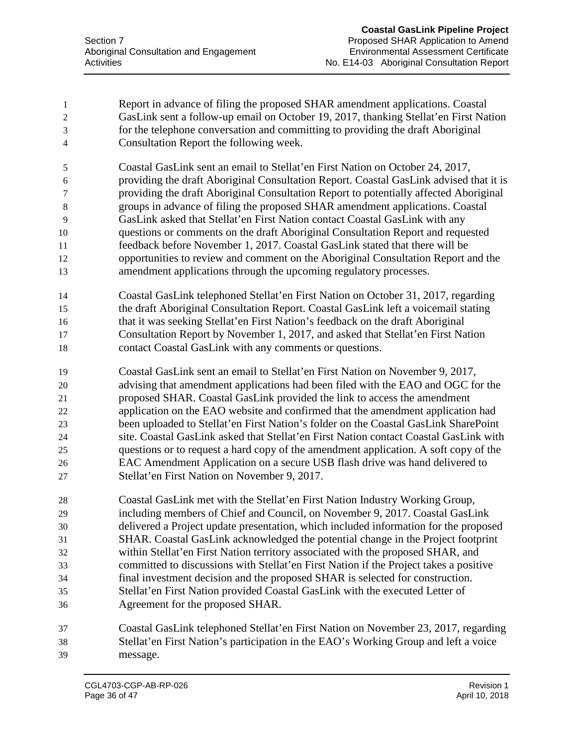- Report in advance of filing the proposed SHAR amendment applications. Coastal GasLink sent a follow-up email on October 19, 2017, thanking Stellat'en First Nation for the telephone conversation and committing to providing the draft Aboriginal Consultation Report the following week.
- Coastal GasLink sent an email to Stellat'en First Nation on October 24, 2017, providing the draft Aboriginal Consultation Report. Coastal GasLink advised that it is providing the draft Aboriginal Consultation Report to potentially affected Aboriginal groups in advance of filing the proposed SHAR amendment applications. Coastal GasLink asked that Stellat'en First Nation contact Coastal GasLink with any questions or comments on the draft Aboriginal Consultation Report and requested feedback before November 1, 2017. Coastal GasLink stated that there will be opportunities to review and comment on the Aboriginal Consultation Report and the amendment applications through the upcoming regulatory processes.
- Coastal GasLink telephoned Stellat'en First Nation on October 31, 2017, regarding the draft Aboriginal Consultation Report. Coastal GasLink left a voicemail stating that it was seeking Stellat'en First Nation's feedback on the draft Aboriginal Consultation Report by November 1, 2017, and asked that Stellat'en First Nation contact Coastal GasLink with any comments or questions.
- Coastal GasLink sent an email to Stellat'en First Nation on November 9, 2017, advising that amendment applications had been filed with the EAO and OGC for the proposed SHAR. Coastal GasLink provided the link to access the amendment application on the EAO website and confirmed that the amendment application had been uploaded to Stellat'en First Nation's folder on the Coastal GasLink SharePoint site. Coastal GasLink asked that Stellat'en First Nation contact Coastal GasLink with questions or to request a hard copy of the amendment application. A soft copy of the EAC Amendment Application on a secure USB flash drive was hand delivered to Stellat'en First Nation on November 9, 2017.
- Coastal GasLink met with the Stellat'en First Nation Industry Working Group, including members of Chief and Council, on November 9, 2017. Coastal GasLink delivered a Project update presentation, which included information for the proposed SHAR. Coastal GasLink acknowledged the potential change in the Project footprint within Stellat'en First Nation territory associated with the proposed SHAR, and committed to discussions with Stellat'en First Nation if the Project takes a positive final investment decision and the proposed SHAR is selected for construction. Stellat'en First Nation provided Coastal GasLink with the executed Letter of Agreement for the proposed SHAR.
- Coastal GasLink telephoned Stellat'en First Nation on November 23, 2017, regarding Stellat'en First Nation's participation in the EAO's Working Group and left a voice message.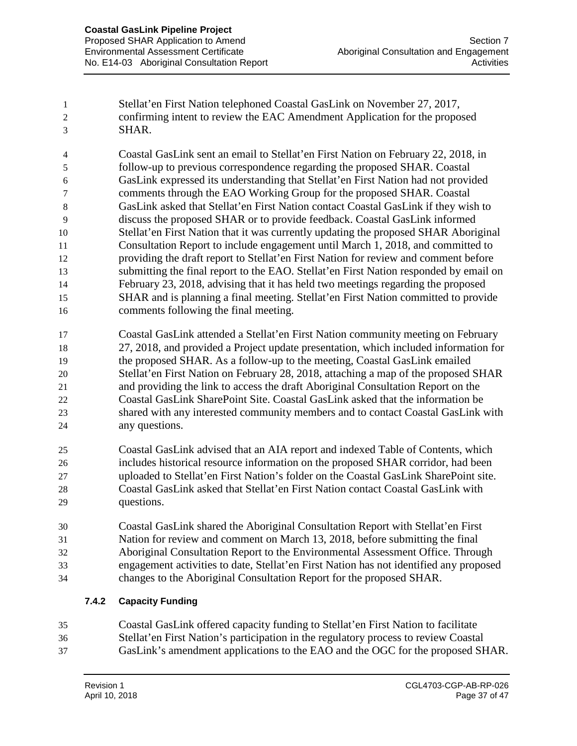Stellat'en First Nation telephoned Coastal GasLink on November 27, 2017, confirming intent to review the EAC Amendment Application for the proposed SHAR.

 Coastal GasLink sent an email to Stellat'en First Nation on February 22, 2018, in follow-up to previous correspondence regarding the proposed SHAR. Coastal GasLink expressed its understanding that Stellat'en First Nation had not provided comments through the EAO Working Group for the proposed SHAR. Coastal GasLink asked that Stellat'en First Nation contact Coastal GasLink if they wish to discuss the proposed SHAR or to provide feedback. Coastal GasLink informed Stellat'en First Nation that it was currently updating the proposed SHAR Aboriginal Consultation Report to include engagement until March 1, 2018, and committed to providing the draft report to Stellat'en First Nation for review and comment before submitting the final report to the EAO. Stellat'en First Nation responded by email on February 23, 2018, advising that it has held two meetings regarding the proposed SHAR and is planning a final meeting. Stellat'en First Nation committed to provide comments following the final meeting.

 Coastal GasLink attended a Stellat'en First Nation community meeting on February 27, 2018, and provided a Project update presentation, which included information for the proposed SHAR. As a follow-up to the meeting, Coastal GasLink emailed Stellat'en First Nation on February 28, 2018, attaching a map of the proposed SHAR and providing the link to access the draft Aboriginal Consultation Report on the Coastal GasLink SharePoint Site. Coastal GasLink asked that the information be shared with any interested community members and to contact Coastal GasLink with any questions.

 Coastal GasLink advised that an AIA report and indexed Table of Contents, which includes historical resource information on the proposed SHAR corridor, had been uploaded to Stellat'en First Nation's folder on the Coastal GasLink SharePoint site. Coastal GasLink asked that Stellat'en First Nation contact Coastal GasLink with questions.

 Coastal GasLink shared the Aboriginal Consultation Report with Stellat'en First Nation for review and comment on March 13, 2018, before submitting the final Aboriginal Consultation Report to the Environmental Assessment Office. Through engagement activities to date, Stellat'en First Nation has not identified any proposed changes to the Aboriginal Consultation Report for the proposed SHAR.

## **7.4.2 Capacity Funding**

 Coastal GasLink offered capacity funding to Stellat'en First Nation to facilitate Stellat'en First Nation's participation in the regulatory process to review Coastal GasLink's amendment applications to the EAO and the OGC for the proposed SHAR.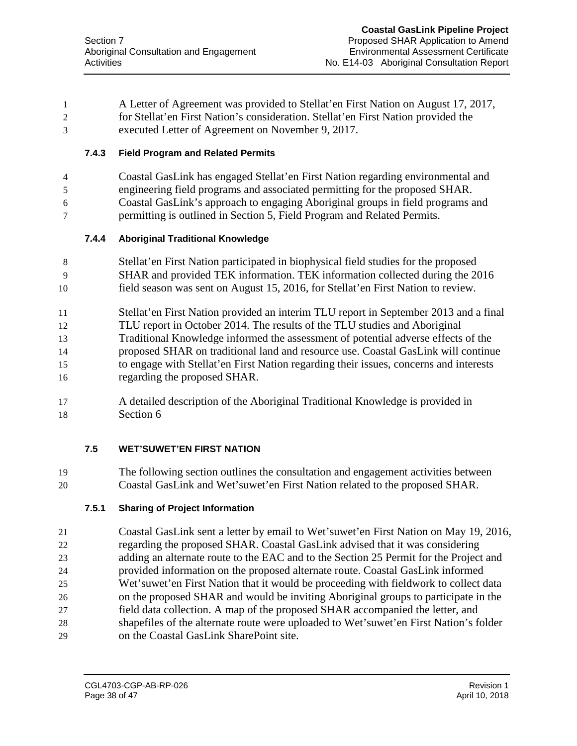A Letter of Agreement was provided to Stellat'en First Nation on August 17, 2017, for Stellat'en First Nation's consideration. Stellat'en First Nation provided the executed Letter of Agreement on November 9, 2017.

## **7.4.3 Field Program and Related Permits**

 Coastal GasLink has engaged Stellat'en First Nation regarding environmental and engineering field programs and associated permitting for the proposed SHAR. Coastal GasLink's approach to engaging Aboriginal groups in field programs and permitting is outlined in Section 5, Field Program and Related Permits.

## **7.4.4 Aboriginal Traditional Knowledge**

- Stellat'en First Nation participated in biophysical field studies for the proposed SHAR and provided TEK information. TEK information collected during the 2016 field season was sent on August 15, 2016, for Stellat'en First Nation to review.
- Stellat'en First Nation provided an interim TLU report in September 2013 and a final TLU report in October 2014. The results of the TLU studies and Aboriginal Traditional Knowledge informed the assessment of potential adverse effects of the proposed SHAR on traditional land and resource use. Coastal GasLink will continue to engage with Stellat'en First Nation regarding their issues, concerns and interests
- regarding the proposed SHAR.
- A detailed description of the Aboriginal Traditional Knowledge is provided in Section 6

## **7.5 WET'SUWET'EN FIRST NATION**

 The following section outlines the consultation and engagement activities between Coastal GasLink and Wet'suwet'en First Nation related to the proposed SHAR.

## **7.5.1 Sharing of Project Information**

 Coastal GasLink sent a letter by email to Wet'suwet'en First Nation on May 19, 2016, regarding the proposed SHAR. Coastal GasLink advised that it was considering adding an alternate route to the EAC and to the Section 25 Permit for the Project and provided information on the proposed alternate route. Coastal GasLink informed Wet'suwet'en First Nation that it would be proceeding with fieldwork to collect data on the proposed SHAR and would be inviting Aboriginal groups to participate in the field data collection. A map of the proposed SHAR accompanied the letter, and shapefiles of the alternate route were uploaded to Wet'suwet'en First Nation's folder on the Coastal GasLink SharePoint site.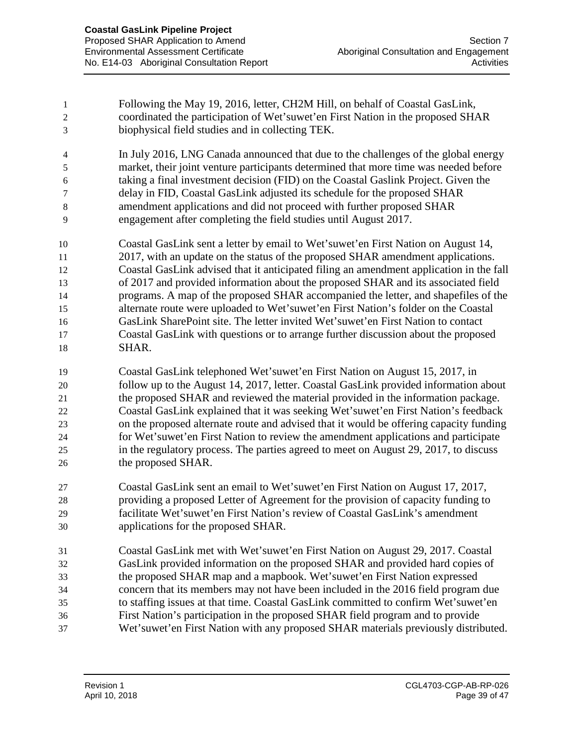Following the May 19, 2016, letter, CH2M Hill, on behalf of Coastal GasLink, coordinated the participation of Wet'suwet'en First Nation in the proposed SHAR biophysical field studies and in collecting TEK. In July 2016, LNG Canada announced that due to the challenges of the global energy market, their joint venture participants determined that more time was needed before taking a final investment decision (FID) on the Coastal Gaslink Project. Given the delay in FID, Coastal GasLink adjusted its schedule for the proposed SHAR amendment applications and did not proceed with further proposed SHAR engagement after completing the field studies until August 2017. Coastal GasLink sent a letter by email to Wet'suwet'en First Nation on August 14, 2017, with an update on the status of the proposed SHAR amendment applications. Coastal GasLink advised that it anticipated filing an amendment application in the fall of 2017 and provided information about the proposed SHAR and its associated field programs. A map of the proposed SHAR accompanied the letter, and shapefiles of the alternate route were uploaded to Wet'suwet'en First Nation's folder on the Coastal GasLink SharePoint site. The letter invited Wet'suwet'en First Nation to contact Coastal GasLink with questions or to arrange further discussion about the proposed SHAR. Coastal GasLink telephoned Wet'suwet'en First Nation on August 15, 2017, in follow up to the August 14, 2017, letter. Coastal GasLink provided information about the proposed SHAR and reviewed the material provided in the information package. Coastal GasLink explained that it was seeking Wet'suwet'en First Nation's feedback on the proposed alternate route and advised that it would be offering capacity funding for Wet'suwet'en First Nation to review the amendment applications and participate in the regulatory process. The parties agreed to meet on August 29, 2017, to discuss 26 the proposed SHAR. Coastal GasLink sent an email to Wet'suwet'en First Nation on August 17, 2017, providing a proposed Letter of Agreement for the provision of capacity funding to facilitate Wet'suwet'en First Nation's review of Coastal GasLink's amendment applications for the proposed SHAR. Coastal GasLink met with Wet'suwet'en First Nation on August 29, 2017. Coastal GasLink provided information on the proposed SHAR and provided hard copies of the proposed SHAR map and a mapbook. Wet'suwet'en First Nation expressed concern that its members may not have been included in the 2016 field program due to staffing issues at that time. Coastal GasLink committed to confirm Wet'suwet'en First Nation's participation in the proposed SHAR field program and to provide Wet'suwet'en First Nation with any proposed SHAR materials previously distributed.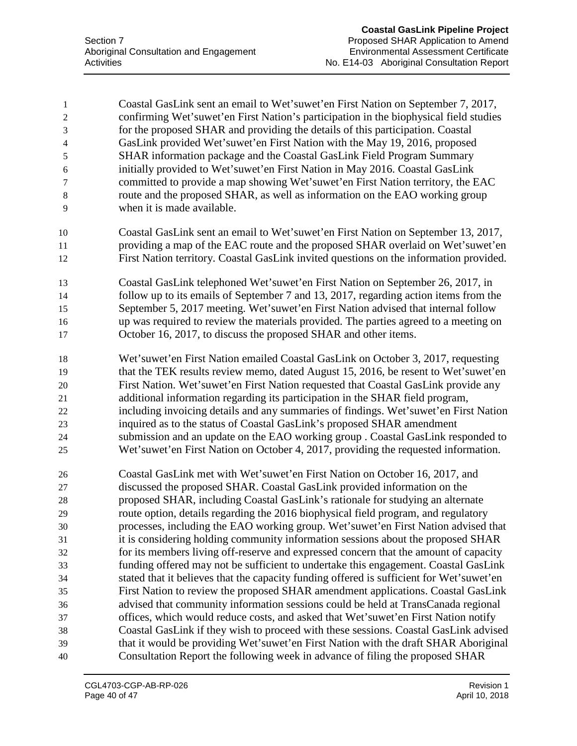Coastal GasLink sent an email to Wet'suwet'en First Nation on September 7, 2017, confirming Wet'suwet'en First Nation's participation in the biophysical field studies for the proposed SHAR and providing the details of this participation. Coastal GasLink provided Wet'suwet'en First Nation with the May 19, 2016, proposed SHAR information package and the Coastal GasLink Field Program Summary initially provided to Wet'suwet'en First Nation in May 2016. Coastal GasLink committed to provide a map showing Wet'suwet'en First Nation territory, the EAC route and the proposed SHAR, as well as information on the EAO working group when it is made available. Coastal GasLink sent an email to Wet'suwet'en First Nation on September 13, 2017, providing a map of the EAC route and the proposed SHAR overlaid on Wet'suwet'en First Nation territory. Coastal GasLink invited questions on the information provided. Coastal GasLink telephoned Wet'suwet'en First Nation on September 26, 2017, in follow up to its emails of September 7 and 13, 2017, regarding action items from the September 5, 2017 meeting. Wet'suwet'en First Nation advised that internal follow up was required to review the materials provided. The parties agreed to a meeting on October 16, 2017, to discuss the proposed SHAR and other items. Wet'suwet'en First Nation emailed Coastal GasLink on October 3, 2017, requesting that the TEK results review memo, dated August 15, 2016, be resent to Wet'suwet'en First Nation. Wet'suwet'en First Nation requested that Coastal GasLink provide any additional information regarding its participation in the SHAR field program, including invoicing details and any summaries of findings. Wet'suwet'en First Nation inquired as to the status of Coastal GasLink's proposed SHAR amendment submission and an update on the EAO working group . Coastal GasLink responded to Wet'suwet'en First Nation on October 4, 2017, providing the requested information. Coastal GasLink met with Wet'suwet'en First Nation on October 16, 2017, and discussed the proposed SHAR. Coastal GasLink provided information on the proposed SHAR, including Coastal GasLink's rationale for studying an alternate route option, details regarding the 2016 biophysical field program, and regulatory processes, including the EAO working group. Wet'suwet'en First Nation advised that it is considering holding community information sessions about the proposed SHAR for its members living off-reserve and expressed concern that the amount of capacity funding offered may not be sufficient to undertake this engagement. Coastal GasLink stated that it believes that the capacity funding offered is sufficient for Wet'suwet'en First Nation to review the proposed SHAR amendment applications. Coastal GasLink advised that community information sessions could be held at TransCanada regional offices, which would reduce costs, and asked that Wet'suwet'en First Nation notify Coastal GasLink if they wish to proceed with these sessions. Coastal GasLink advised that it would be providing Wet'suwet'en First Nation with the draft SHAR Aboriginal Consultation Report the following week in advance of filing the proposed SHAR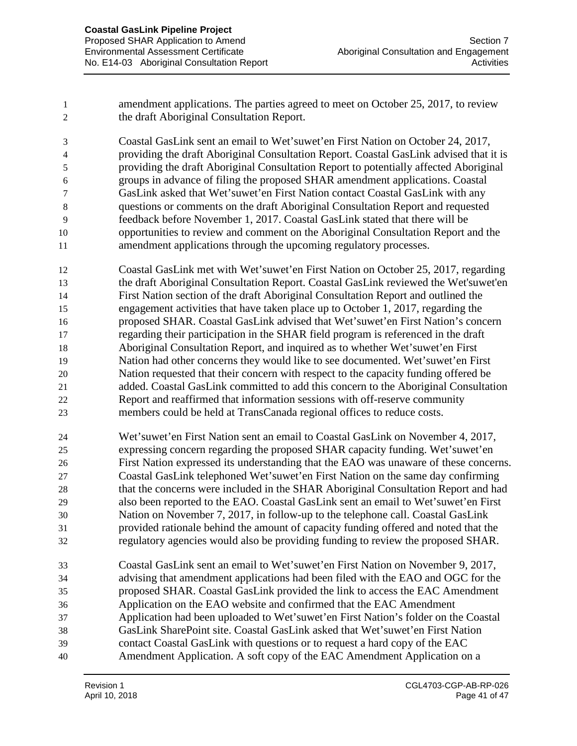amendment applications. The parties agreed to meet on October 25, 2017, to review the draft Aboriginal Consultation Report.

 Coastal GasLink sent an email to Wet'suwet'en First Nation on October 24, 2017, providing the draft Aboriginal Consultation Report. Coastal GasLink advised that it is providing the draft Aboriginal Consultation Report to potentially affected Aboriginal groups in advance of filing the proposed SHAR amendment applications. Coastal GasLink asked that Wet'suwet'en First Nation contact Coastal GasLink with any questions or comments on the draft Aboriginal Consultation Report and requested feedback before November 1, 2017. Coastal GasLink stated that there will be opportunities to review and comment on the Aboriginal Consultation Report and the amendment applications through the upcoming regulatory processes.

 Coastal GasLink met with Wet'suwet'en First Nation on October 25, 2017, regarding the draft Aboriginal Consultation Report. Coastal GasLink reviewed the Wet'suwet'en First Nation section of the draft Aboriginal Consultation Report and outlined the engagement activities that have taken place up to October 1, 2017, regarding the proposed SHAR. Coastal GasLink advised that Wet'suwet'en First Nation's concern regarding their participation in the SHAR field program is referenced in the draft Aboriginal Consultation Report, and inquired as to whether Wet'suwet'en First Nation had other concerns they would like to see documented. Wet'suwet'en First Nation requested that their concern with respect to the capacity funding offered be added. Coastal GasLink committed to add this concern to the Aboriginal Consultation Report and reaffirmed that information sessions with off-reserve community members could be held at TransCanada regional offices to reduce costs.

 Wet'suwet'en First Nation sent an email to Coastal GasLink on November 4, 2017, expressing concern regarding the proposed SHAR capacity funding. Wet'suwet'en First Nation expressed its understanding that the EAO was unaware of these concerns. Coastal GasLink telephoned Wet'suwet'en First Nation on the same day confirming that the concerns were included in the SHAR Aboriginal Consultation Report and had also been reported to the EAO. Coastal GasLink sent an email to Wet'suwet'en First Nation on November 7, 2017, in follow-up to the telephone call. Coastal GasLink provided rationale behind the amount of capacity funding offered and noted that the regulatory agencies would also be providing funding to review the proposed SHAR.

 Coastal GasLink sent an email to Wet'suwet'en First Nation on November 9, 2017, advising that amendment applications had been filed with the EAO and OGC for the proposed SHAR. Coastal GasLink provided the link to access the EAC Amendment Application on the EAO website and confirmed that the EAC Amendment Application had been uploaded to Wet'suwet'en First Nation's folder on the Coastal GasLink SharePoint site. Coastal GasLink asked that Wet'suwet'en First Nation contact Coastal GasLink with questions or to request a hard copy of the EAC Amendment Application. A soft copy of the EAC Amendment Application on a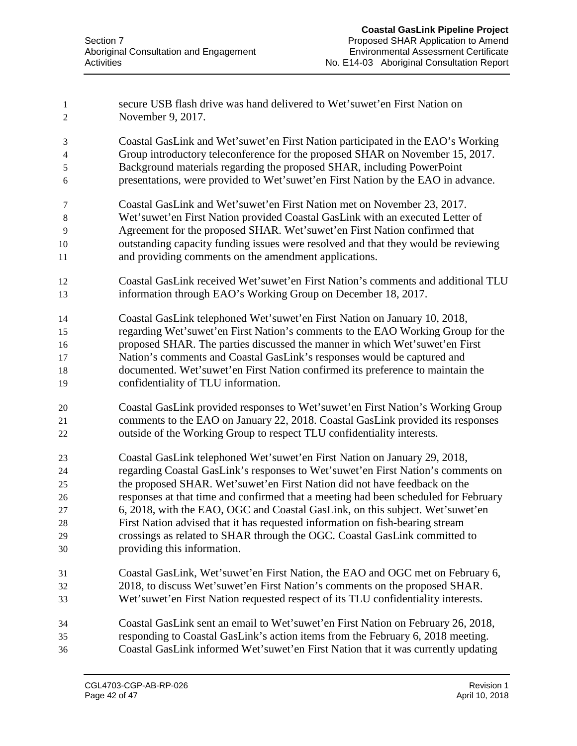| $\mathbf{1}$<br>$\overline{2}$ | secure USB flash drive was hand delivered to Wet'suwet'en First Nation on<br>November 9, 2017. |
|--------------------------------|------------------------------------------------------------------------------------------------|
| 3                              | Coastal GasLink and Wet'suwet'en First Nation participated in the EAO's Working                |
| $\overline{4}$                 | Group introductory teleconference for the proposed SHAR on November 15, 2017.                  |
| $\sqrt{5}$                     | Background materials regarding the proposed SHAR, including PowerPoint                         |
| 6                              | presentations, were provided to Wet'suwet'en First Nation by the EAO in advance.               |
| 7                              | Coastal GasLink and Wet'suwet'en First Nation met on November 23, 2017.                        |
| $\,8\,$                        | Wet'suwet'en First Nation provided Coastal GasLink with an executed Letter of                  |
| 9                              | Agreement for the proposed SHAR. Wet'suwet'en First Nation confirmed that                      |
| 10                             | outstanding capacity funding issues were resolved and that they would be reviewing             |
| 11                             | and providing comments on the amendment applications.                                          |
| 12                             | Coastal GasLink received Wet'suwet'en First Nation's comments and additional TLU               |
| 13                             | information through EAO's Working Group on December 18, 2017.                                  |
| 14                             | Coastal GasLink telephoned Wet'suwet'en First Nation on January 10, 2018,                      |
| 15                             | regarding Wet'suwet'en First Nation's comments to the EAO Working Group for the                |
| 16                             | proposed SHAR. The parties discussed the manner in which Wet'suwet'en First                    |
| 17                             | Nation's comments and Coastal GasLink's responses would be captured and                        |
| 18                             | documented. Wet'suwet'en First Nation confirmed its preference to maintain the                 |
| 19                             | confidentiality of TLU information.                                                            |
| 20                             | Coastal GasLink provided responses to Wet'suwet'en First Nation's Working Group                |
| 21                             | comments to the EAO on January 22, 2018. Coastal GasLink provided its responses                |
| 22                             | outside of the Working Group to respect TLU confidentiality interests.                         |
| 23                             | Coastal GasLink telephoned Wet'suwet'en First Nation on January 29, 2018,                      |
| 24                             | regarding Coastal GasLink's responses to Wet'suwet'en First Nation's comments on               |
| 25                             | the proposed SHAR. Wet'suwet'en First Nation did not have feedback on the                      |
| 26                             | responses at that time and confirmed that a meeting had been scheduled for February            |
| 27                             | 6, 2018, with the EAO, OGC and Coastal GasLink, on this subject. Wet'suwet'en                  |
| 28                             | First Nation advised that it has requested information on fish-bearing stream                  |
| 29                             | crossings as related to SHAR through the OGC. Coastal GasLink committed to                     |
| 30                             | providing this information.                                                                    |
| 31                             | Coastal GasLink, Wet'suwet'en First Nation, the EAO and OGC met on February 6,                 |
| 32                             | 2018, to discuss Wet'suwet'en First Nation's comments on the proposed SHAR.                    |
| 33                             | Wet'suwet'en First Nation requested respect of its TLU confidentiality interests.              |
| 34                             | Coastal GasLink sent an email to Wet'suwet'en First Nation on February 26, 2018,               |
| 35                             | responding to Coastal GasLink's action items from the February 6, 2018 meeting.                |
| 36                             | Coastal GasLink informed Wet'suwet'en First Nation that it was currently updating              |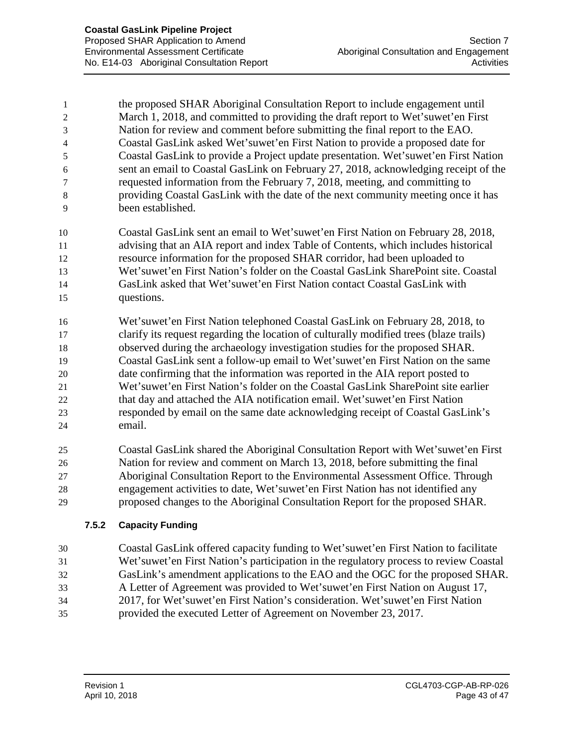the proposed SHAR Aboriginal Consultation Report to include engagement until March 1, 2018, and committed to providing the draft report to Wet'suwet'en First Nation for review and comment before submitting the final report to the EAO. Coastal GasLink asked Wet'suwet'en First Nation to provide a proposed date for Coastal GasLink to provide a Project update presentation. Wet'suwet'en First Nation sent an email to Coastal GasLink on February 27, 2018, acknowledging receipt of the requested information from the February 7, 2018, meeting, and committing to providing Coastal GasLink with the date of the next community meeting once it has been established.

 Coastal GasLink sent an email to Wet'suwet'en First Nation on February 28, 2018, advising that an AIA report and index Table of Contents, which includes historical resource information for the proposed SHAR corridor, had been uploaded to Wet'suwet'en First Nation's folder on the Coastal GasLink SharePoint site. Coastal GasLink asked that Wet'suwet'en First Nation contact Coastal GasLink with questions.

 Wet'suwet'en First Nation telephoned Coastal GasLink on February 28, 2018, to clarify its request regarding the location of culturally modified trees (blaze trails) observed during the archaeology investigation studies for the proposed SHAR. Coastal GasLink sent a follow-up email to Wet'suwet'en First Nation on the same date confirming that the information was reported in the AIA report posted to Wet'suwet'en First Nation's folder on the Coastal GasLink SharePoint site earlier that day and attached the AIA notification email. Wet'suwet'en First Nation responded by email on the same date acknowledging receipt of Coastal GasLink's email.

 Coastal GasLink shared the Aboriginal Consultation Report with Wet'suwet'en First Nation for review and comment on March 13, 2018, before submitting the final Aboriginal Consultation Report to the Environmental Assessment Office. Through engagement activities to date, Wet'suwet'en First Nation has not identified any proposed changes to the Aboriginal Consultation Report for the proposed SHAR.

## **7.5.2 Capacity Funding**

 Coastal GasLink offered capacity funding to Wet'suwet'en First Nation to facilitate Wet'suwet'en First Nation's participation in the regulatory process to review Coastal GasLink's amendment applications to the EAO and the OGC for the proposed SHAR. A Letter of Agreement was provided to Wet'suwet'en First Nation on August 17, 2017, for Wet'suwet'en First Nation's consideration. Wet'suwet'en First Nation provided the executed Letter of Agreement on November 23, 2017.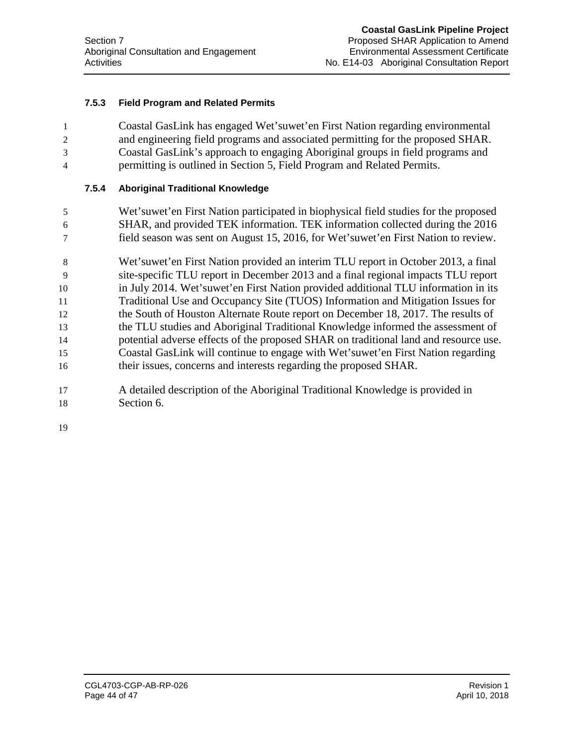#### **7.5.3 Field Program and Related Permits**

 Coastal GasLink has engaged Wet'suwet'en First Nation regarding environmental and engineering field programs and associated permitting for the proposed SHAR. Coastal GasLink's approach to engaging Aboriginal groups in field programs and permitting is outlined in Section 5, Field Program and Related Permits.

#### **7.5.4 Aboriginal Traditional Knowledge**

- 5 Wet'suwet'en First Nation participated in biophysical field studies for the proposed 6 SHAR, and provided TEK information. TEK information collected during the 2016 7 field season was sent on August 15, 2016, for Wet'suwet'en First Nation to review.
- 8 Wet'suwet'en First Nation provided an interim TLU report in October 2013, a final 9 site-specific TLU report in December 2013 and a final regional impacts TLU report 10 in July 2014. Wet'suwet'en First Nation provided additional TLU information in its 11 Traditional Use and Occupancy Site (TUOS) Information and Mitigation Issues for 12 the South of Houston Alternate Route report on December 18, 2017. The results of 13 the TLU studies and Aboriginal Traditional Knowledge informed the assessment of 14 potential adverse effects of the proposed SHAR on traditional land and resource use. 15 Coastal GasLink will continue to engage with Wet'suwet'en First Nation regarding 16 their issues, concerns and interests regarding the proposed SHAR.
- 17 A detailed description of the Aboriginal Traditional Knowledge is provided in 18 Section 6.

19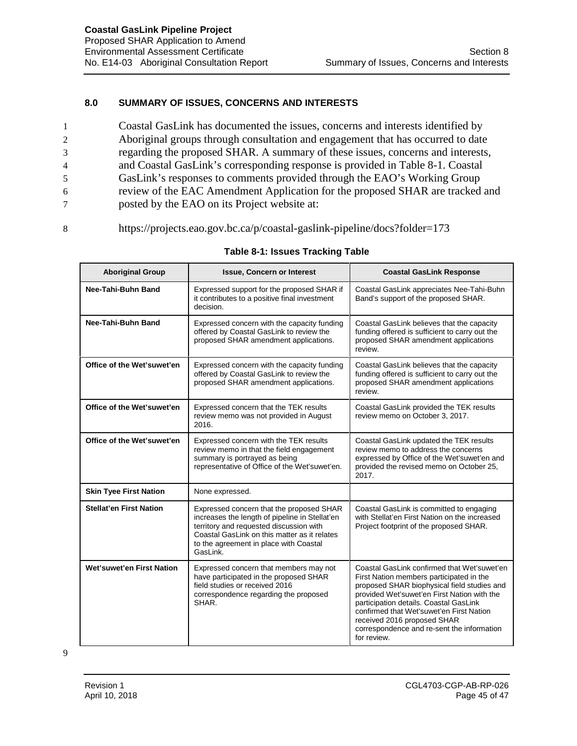#### **8.0 SUMMARY OF ISSUES, CONCERNS AND INTERESTS**

- 1 Coastal GasLink has documented the issues, concerns and interests identified by 2 Aboriginal groups through consultation and engagement that has occurred to date 3 regarding the proposed SHAR. A summary of these issues, concerns and interests, 4 and Coastal GasLink's corresponding response is provided in Table 8-1. Coastal 5 GasLink's responses to comments provided through the EAO's Working Group 6 review of the EAC Amendment Application for the proposed SHAR are tracked and 7 posted by the EAO on its Project website at:
- 8 https://projects.eao.gov.bc.ca/p/coastal-gaslink-pipeline/docs?folder=173

| <b>Aboriginal Group</b>        | <b>Issue, Concern or Interest</b>                                                                                                                                                                                                           | <b>Coastal GasLink Response</b>                                                                                                                                                                                                                                                                                                                                         |
|--------------------------------|---------------------------------------------------------------------------------------------------------------------------------------------------------------------------------------------------------------------------------------------|-------------------------------------------------------------------------------------------------------------------------------------------------------------------------------------------------------------------------------------------------------------------------------------------------------------------------------------------------------------------------|
| Nee-Tahi-Buhn Band             | Expressed support for the proposed SHAR if<br>it contributes to a positive final investment<br>decision.                                                                                                                                    | Coastal GasLink appreciates Nee-Tahi-Buhn<br>Band's support of the proposed SHAR.                                                                                                                                                                                                                                                                                       |
| Nee-Tahi-Buhn Band             | Expressed concern with the capacity funding<br>offered by Coastal GasLink to review the<br>proposed SHAR amendment applications.                                                                                                            | Coastal GasLink believes that the capacity<br>funding offered is sufficient to carry out the<br>proposed SHAR amendment applications<br>review.                                                                                                                                                                                                                         |
| Office of the Wet'suwet'en     | Expressed concern with the capacity funding<br>offered by Coastal GasLink to review the<br>proposed SHAR amendment applications.                                                                                                            | Coastal GasLink believes that the capacity<br>funding offered is sufficient to carry out the<br>proposed SHAR amendment applications<br>review.                                                                                                                                                                                                                         |
| Office of the Wet'suwet'en     | Expressed concern that the TEK results<br>review memo was not provided in August<br>2016.                                                                                                                                                   | Coastal GasLink provided the TEK results<br>review memo on October 3, 2017.                                                                                                                                                                                                                                                                                             |
| Office of the Wet'suwet'en     | Expressed concern with the TEK results<br>review memo in that the field engagement<br>summary is portrayed as being<br>representative of Office of the Wet'suwet'en.                                                                        | Coastal GasLink updated the TEK results<br>review memo to address the concerns<br>expressed by Office of the Wet'suwet'en and<br>provided the revised memo on October 25,<br>2017.                                                                                                                                                                                      |
| <b>Skin Tyee First Nation</b>  | None expressed.                                                                                                                                                                                                                             |                                                                                                                                                                                                                                                                                                                                                                         |
| <b>Stellat'en First Nation</b> | Expressed concern that the proposed SHAR<br>increases the length of pipeline in Stellat'en<br>territory and requested discussion with<br>Coastal GasLink on this matter as it relates<br>to the agreement in place with Coastal<br>GasLink. | Coastal GasLink is committed to engaging<br>with Stellat'en First Nation on the increased<br>Project footprint of the proposed SHAR.                                                                                                                                                                                                                                    |
| Wet'suwet'en First Nation      | Expressed concern that members may not<br>have participated in the proposed SHAR<br>field studies or received 2016<br>correspondence regarding the proposed<br>SHAR.                                                                        | Coastal GasLink confirmed that Wet'suwet'en<br>First Nation members participated in the<br>proposed SHAR biophysical field studies and<br>provided Wet'suwet'en First Nation with the<br>participation details. Coastal GasLink<br>confirmed that Wet'suwet'en First Nation<br>received 2016 proposed SHAR<br>correspondence and re-sent the information<br>for review. |

#### **Table 8-1: Issues Tracking Table**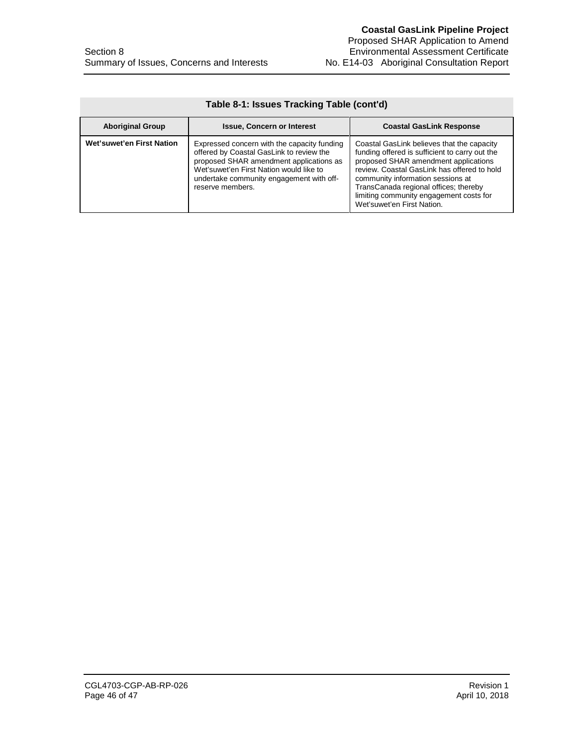| Table 8-1: Issues Tracking Table (cont'd) |                                                                                                                                                                                                                                               |                                                                                                                                                                                                                                                                                                                                            |  |  |
|-------------------------------------------|-----------------------------------------------------------------------------------------------------------------------------------------------------------------------------------------------------------------------------------------------|--------------------------------------------------------------------------------------------------------------------------------------------------------------------------------------------------------------------------------------------------------------------------------------------------------------------------------------------|--|--|
| <b>Aboriginal Group</b>                   | <b>Issue, Concern or Interest</b>                                                                                                                                                                                                             | <b>Coastal GasLink Response</b>                                                                                                                                                                                                                                                                                                            |  |  |
| Wet'suwet'en First Nation                 | Expressed concern with the capacity funding<br>offered by Coastal GasLink to review the<br>proposed SHAR amendment applications as<br>Wet'suwet'en First Nation would like to<br>undertake community engagement with off-<br>reserve members. | Coastal GasLink believes that the capacity<br>funding offered is sufficient to carry out the<br>proposed SHAR amendment applications<br>review. Coastal GasLink has offered to hold<br>community information sessions at<br>TransCanada regional offices; thereby<br>limiting community engagement costs for<br>Wet'suwet'en First Nation. |  |  |

## **Table 8-1: Issues Tracking Table (cont'd)**